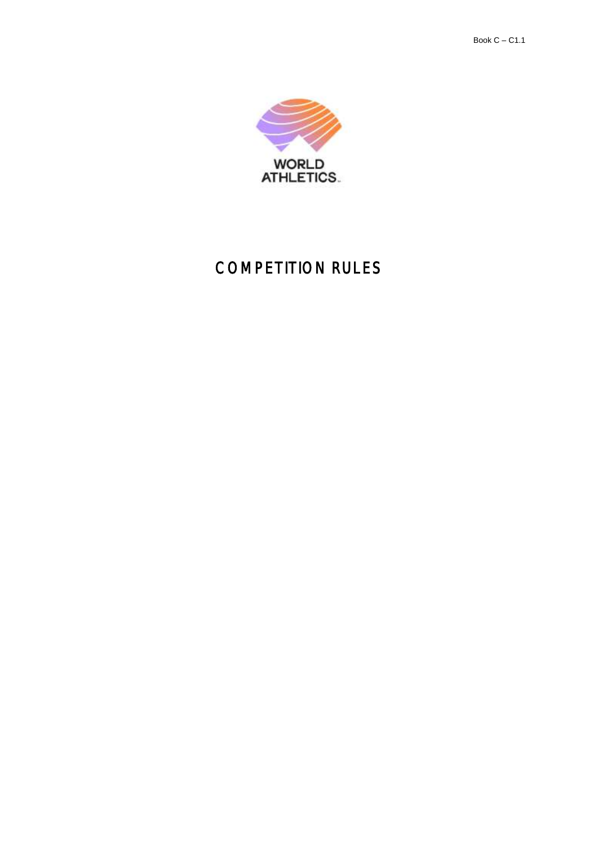

# COMPETITION RULES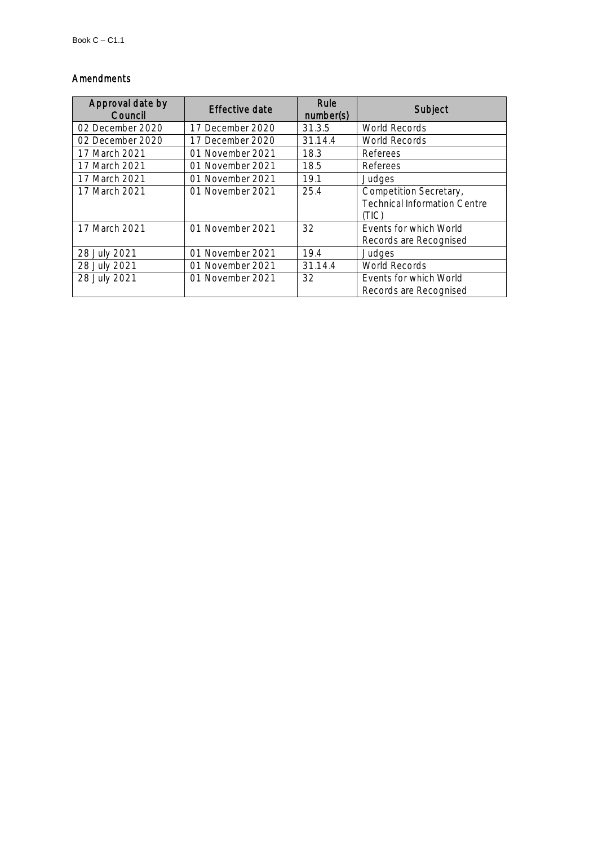# Amendments

| Approval date by<br>Council | Effective date   | Rule<br>number(s) | Subject                             |
|-----------------------------|------------------|-------------------|-------------------------------------|
| 02 December 2020            | 17 December 2020 | 31.3.5            | <b>World Records</b>                |
| 02 December 2020            | 17 December 2020 | 31.14.4           | World Records                       |
| 17 March 2021               | 01 November 2021 | 18.3              | Referees                            |
| 17 March 2021               | 01 November 2021 | 18.5              | Referees                            |
| 17 March 2021               | 01 November 2021 | 19.1              | Judges                              |
| 17 March 2021               | 01 November 2021 | 25.4              | Competition Secretary,              |
|                             |                  |                   | <b>Technical Information Centre</b> |
|                             |                  |                   | (TIC)                               |
| 17 March 2021               | 01 November 2021 | 32                | Events for which World              |
|                             |                  |                   | Records are Recognised              |
| 28 July 2021                | 01 November 2021 | 19.4              | Judges                              |
| 28 July 2021                | 01 November 2021 | 31.14.4           | World Records                       |
| 28 July 2021                | 01 November 2021 | 32                | Events for which World              |
|                             |                  |                   | Records are Recognised              |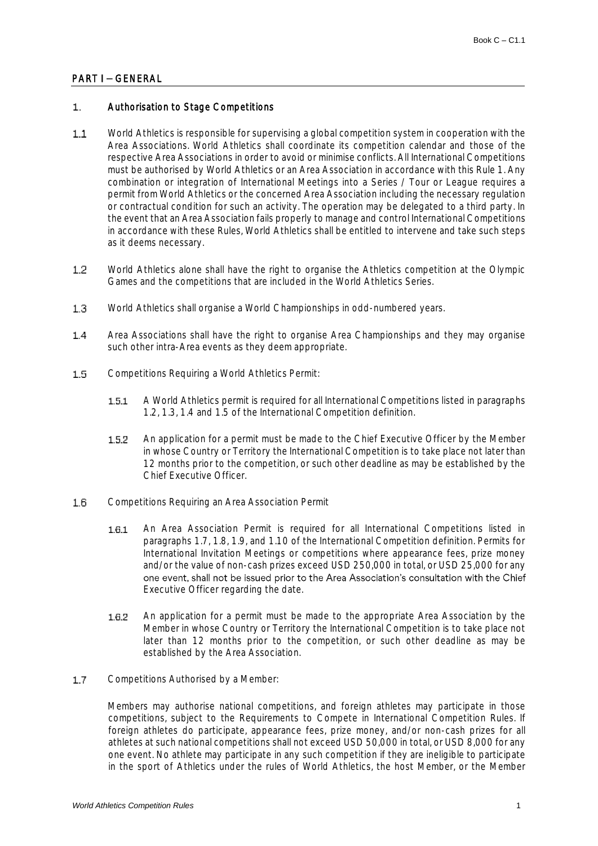## PART I - GENERAL

#### $\mathbf{1}$ Authorisation to Stage Competitions

- World Athletics is responsible for supervising a global competition system in cooperation with the  $1.1$ Area Associations. World Athletics shall coordinate its competition calendar and those of the respective Area Associations in order to avoid or minimise conflicts. All International Competitions must be authorised by World Athletics or an Area Association in accordance with this Rule 1. Any combination or integration of International Meetings into a Series / Tour or League requires a permit from World Athletics or the concerned Area Association including the necessary regulation or contractual condition for such an activity. The operation may be delegated to a third party. In the event that an Area Association fails properly to manage and control International Competitions in accordance with these Rules, World Athletics shall be entitled to intervene and take such steps as it deems necessary.
- World Athletics alone shall have the right to organise the Athletics competition at the Olympic  $1.2$ Games and the competitions that are included in the World Athletics Series.
- $1.3$ World Athletics shall organise a World Championships in odd-numbered years.
- $1.4$ Area Associations shall have the right to organise Area Championships and they may organise such other intra-Area events as they deem appropriate.
- $1.5$ Competitions Requiring a World Athletics Permit:
	- A World Athletics permit is required for all International Competitions listed in paragraphs  $1.5.1$ 1.2, 1.3, 1.4 and 1.5 of the International Competition definition.
	- $1.5.2$ An application for a permit must be made to the Chief Executive Officer by the Member in whose Country or Territory the International Competition is to take place not later than 12 months prior to the competition, or such other deadline as may be established by the Chief Executive Officer.
- $16$ Competitions Requiring an Area Association Permit
	- $1.6.1$ An Area Association Permit is required for all International Competitions listed in paragraphs 1.7, 1.8, 1.9, and 1.10 of the International Competition definition. Permits for International Invitation Meetings or competitions where appearance fees, prize money and/or the value of non-cash prizes exceed USD 250,000 in total, or USD 25,000 for any one event, shall not be issued prior to the Area Association's consultation with the Chief Executive Officer regarding the date.
	- An application for a permit must be made to the appropriate Area Association by the  $1.6.2$ Member in whose Country or Territory the International Competition is to take place not later than 12 months prior to the competition, or such other deadline as may be established by the Area Association.
- $17$ Competitions Authorised by a Member:

Members may authorise national competitions, and foreign athletes may participate in those competitions, subject to the Requirements to Compete in International Competition Rules. If foreign athletes do participate, appearance fees, prize money, and/or non-cash prizes for all athletes at such national competitions shall not exceed USD 50,000 in total, or USD 8,000 for any one event. No athlete may participate in any such competition if they are ineligible to participate in the sport of Athletics under the rules of World Athletics, the host Member, or the Member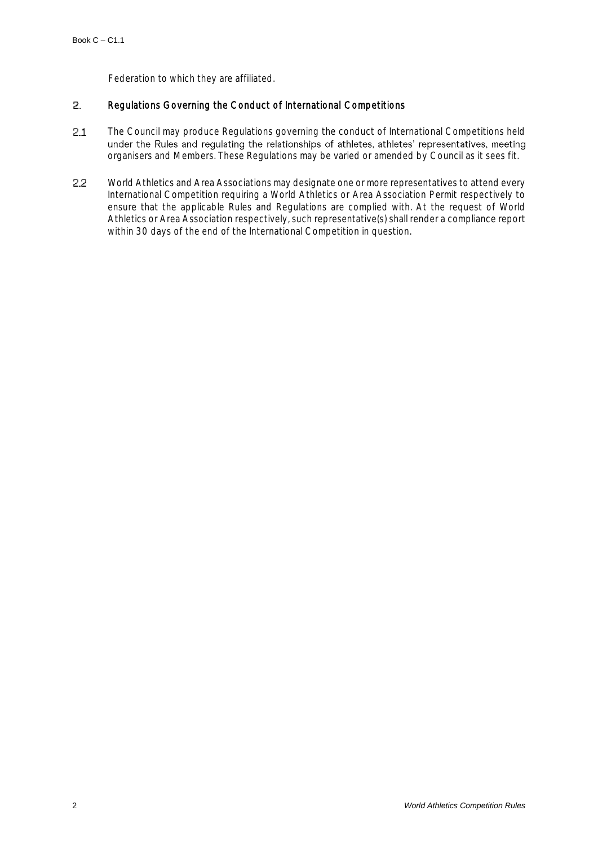Federation to which they are affiliated.

#### 2. Regulations Governing the Conduct of International Competitions

- $2.1$ The Council may produce Regulations governing the conduct of International Competitions held under the Rules and regulating the relationships of athletes, athletes' representatives, meeting organisers and Members. These Regulations may be varied or amended by Council as it sees fit.
- 22 World Athletics and Area Associations may designate one or more representatives to attend every International Competition requiring a World Athletics or Area Association Permit respectively to ensure that the applicable Rules and Regulations are complied with. At the request of World Athletics or Area Association respectively, such representative(s) shall render a compliance report within 30 days of the end of the International Competition in question.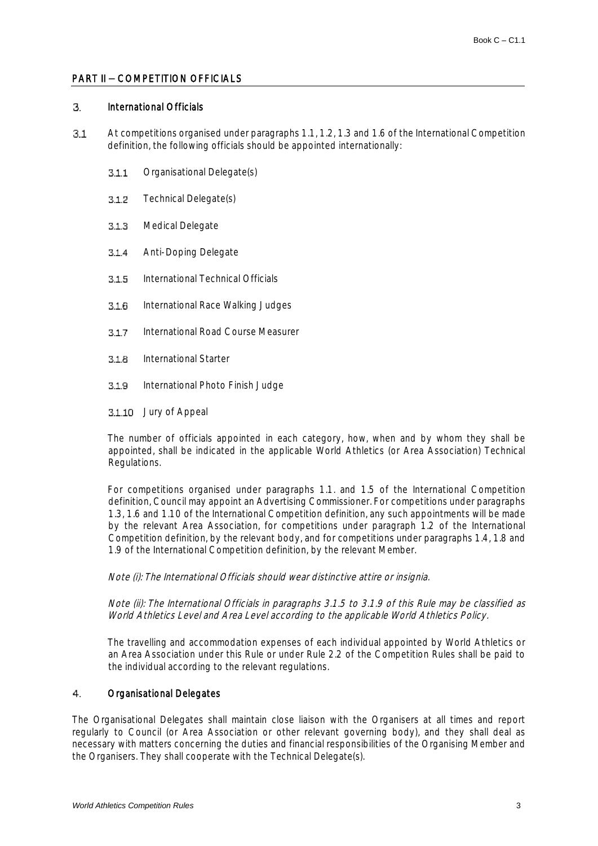### PART II - COMPETITION OFFICIALS

#### 3. International Officials

- $31$ At competitions organised under paragraphs 1.1, 1.2, 1.3 and 1.6 of the International Competition definition, the following officials should be appointed internationally:
	- $311$ Organisational Delegate(s)
	- $3.1.2$ Technical Delegate(s)
	- Medical Delegate  $3.1.3$
	- $314$ Anti-Doping Delegate
	- $3.1.5$ International Technical Officials
	- $3.1.6$ International Race Walking Judges
	- $3.1.7$ International Road Course Measurer
	- 3.1.8 International Starter
	- International Photo Finish Judge  $3.1.9$
	- 3.1.10 Jury of Appeal

The number of officials appointed in each category, how, when and by whom they shall be appointed, shall be indicated in the applicable World Athletics (or Area Association) Technical Regulations.

For competitions organised under paragraphs 1.1. and 1.5 of the International Competition definition, Council may appoint an Advertising Commissioner. For competitions under paragraphs 1.3, 1.6 and 1.10 of the International Competition definition, any such appointments will be made by the relevant Area Association, for competitions under paragraph 1.2 of the International Competition definition, by the relevant body, and for competitions under paragraphs 1.4, 1.8 and 1.9 of the International Competition definition, by the relevant Member.

### Note (i): The International Officials should wear distinctive attire or insignia.

Note (ii): The International Officials in paragraphs 3.1.5 to 3.1.9 of this Rule may be classified as World Athletics Level and Area Level according to the applicable World Athletics Policy.

The travelling and accommodation expenses of each individual appointed by World Athletics or an Area Association under this Rule or under Rule 2.2 of the Competition Rules shall be paid to the individual according to the relevant regulations.

#### $4<sup>1</sup>$ Organisational Delegates

The Organisational Delegates shall maintain close liaison with the Organisers at all times and report regularly to Council (or Area Association or other relevant governing body), and they shall deal as necessary with matters concerning the duties and financial responsibilities of the Organising Member and the Organisers. They shall cooperate with the Technical Delegate(s).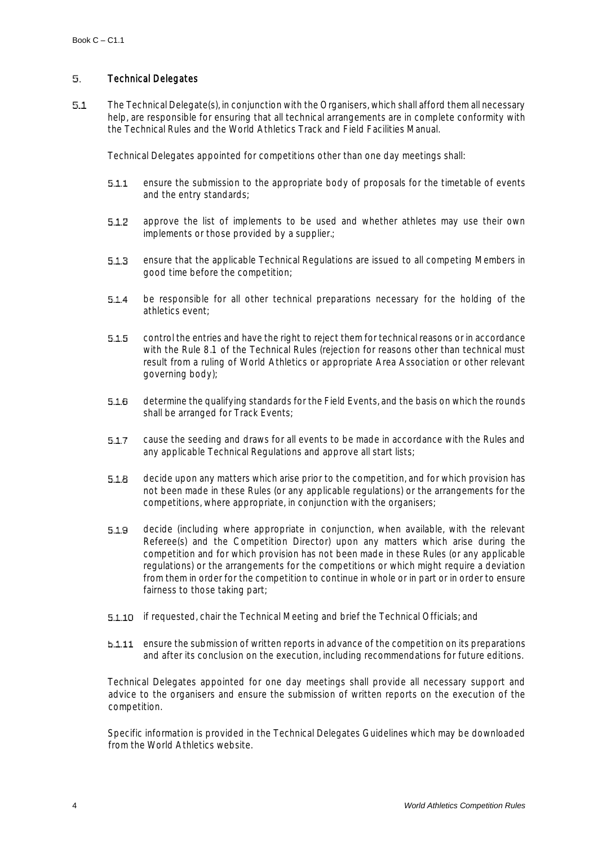#### 5. Technical Delegates

 $5.1$ The Technical Delegate(s), in conjunction with the Organisers, which shall afford them all necessary help, are responsible for ensuring that all technical arrangements are in complete conformity with the Technical Rules and the World Athletics Track and Field Facilities Manual.

Technical Delegates appointed for competitions other than one day meetings shall:

- ensure the submission to the appropriate body of proposals for the timetable of events  $5.1.1$ and the entry standards;
- $5.1.2$ approve the list of implements to be used and whether athletes may use their own implements or those provided by a supplier.;
- 5.1.3 ensure that the applicable Technical Regulations are issued to all competing Members in good time before the competition;
- $5.1.4$ be responsible for all other technical preparations necessary for the holding of the athletics event;
- $5.1.5$ control the entries and have the right to reject them for technical reasons or in accordance with the Rule 8.1 of the Technical Rules (rejection for reasons other than technical must result from a ruling of World Athletics or appropriate Area Association or other relevant governing body);
- determine the qualifying standards for the Field Events, and the basis on which the rounds  $5.1.6$ shall be arranged for Track Events;
- cause the seeding and draws for all events to be made in accordance with the Rules and  $5.1.7$ any applicable Technical Regulations and approve all start lists;
- $5.1.8$ decide upon any matters which arise prior to the competition, and for which provision has not been made in these Rules (or any applicable regulations) or the arrangements for the competitions, where appropriate, in conjunction with the organisers;
- decide (including where appropriate in conjunction, when available, with the relevant  $5.1.9$ Referee(s) and the Competition Director) upon any matters which arise during the competition and for which provision has not been made in these Rules (or any applicable regulations) or the arrangements for the competitions or which might require a deviation from them in order for the competition to continue in whole or in part or in order to ensure fairness to those taking part;
- **5.1.10** if requested, chair the Technical Meeting and brief the Technical Officials; and
- **b.1.11** ensure the submission of written reports in advance of the competition on its preparations and after its conclusion on the execution, including recommendations for future editions.

Technical Delegates appointed for one day meetings shall provide all necessary support and advice to the organisers and ensure the submission of written reports on the execution of the competition.

Specific information is provided in the Technical Delegates Guidelines which may be downloaded from the World Athletics website.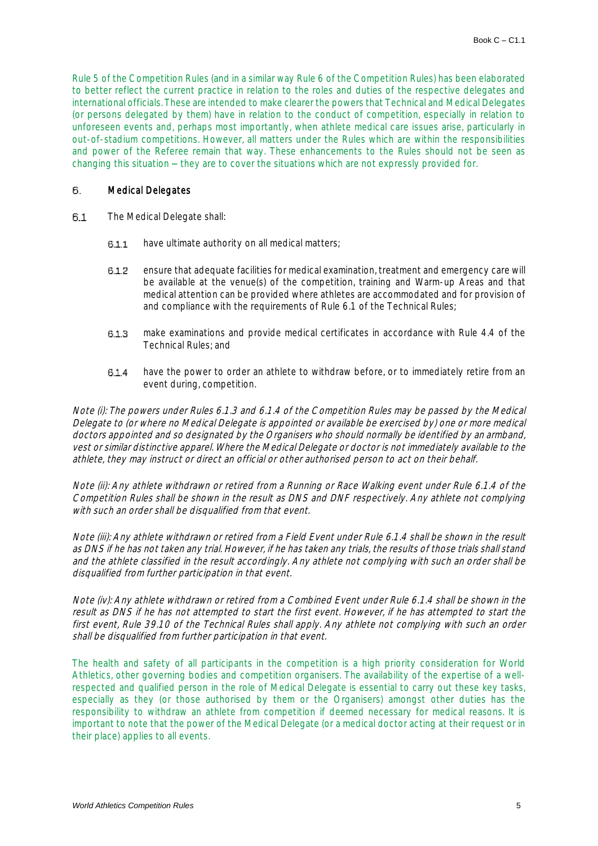Rule 5 of the Competition Rules (and in a similar way Rule 6 of the Competition Rules) has been elaborated to better reflect the current practice in relation to the roles and duties of the respective delegates and international officials. These are intended to make clearer the powers that Technical and Medical Delegates (or persons delegated by them) have in relation to the conduct of competition, especially in relation to unforeseen events and, perhaps most importantly, when athlete medical care issues arise, particularly in out-of-stadium competitions. However, all matters under the Rules which are within the responsibilities and power of the Referee remain that way. These enhancements to the Rules should not be seen as changing this situation  $-$  they are to cover the situations which are not expressly provided for.

#### 6. Medical Delegates

- 6.1 The Medical Delegate shall:
	- have ultimate authority on all medical matters;  $6.1.1$
	- $6.1.2$ ensure that adequate facilities for medical examination, treatment and emergency care will be available at the venue(s) of the competition, training and Warm-up Areas and that medical attention can be provided where athletes are accommodated and for provision of and compliance with the requirements of Rule 6.1 of the Technical Rules;
	- make examinations and provide medical certificates in accordance with Rule 4.4 of the  $6.1.3$ Technical Rules; and
	- $6.1.4$ have the power to order an athlete to withdraw before, or to immediately retire from an event during, competition.

Note (i): The powers under Rules 6.1.3 and 6.1.4 of the Competition Rules may be passed by the Medical Delegate to (or where no Medical Delegate is appointed or available be exercised by) one or more medical doctors appointed and so designated by the Organisers who should normally be identified by an armband, vest or similar distinctive apparel. Where the Medical Delegate or doctor is not immediately available to the athlete, they may instruct or direct an official or other authorised person to act on their behalf.

Note (ii): Any athlete withdrawn or retired from a Running or Race Walking event under Rule 6.1.4 of the Competition Rules shall be shown in the result as DNS and DNF respectively. Any athlete not complying with such an order shall be disqualified from that event.

Note (iii): Any athlete withdrawn or retired from a Field Event under Rule 6.1.4 shall be shown in the result as DNS if he has not taken any trial. However, if he has taken any trials, the results of those trials shall stand and the athlete classified in the result accordingly. Any athlete not complying with such an order shall be disqualified from further participation in that event.

Note (iv): Any athlete withdrawn or retired from a Combined Event under Rule 6.1.4 shall be shown in the result as DNS if he has not attempted to start the first event. However, if he has attempted to start the first event, Rule 39.10 of the Technical Rules shall apply. Any athlete not complying with such an order shall be disqualified from further participation in that event.

The health and safety of all participants in the competition is a high priority consideration for World Athletics, other governing bodies and competition organisers. The availability of the expertise of a wellrespected and qualified person in the role of Medical Delegate is essential to carry out these key tasks, especially as they (or those authorised by them or the Organisers) amongst other duties has the responsibility to withdraw an athlete from competition if deemed necessary for medical reasons. It is important to note that the power of the Medical Delegate (or a medical doctor acting at their request or in their place) applies to all events.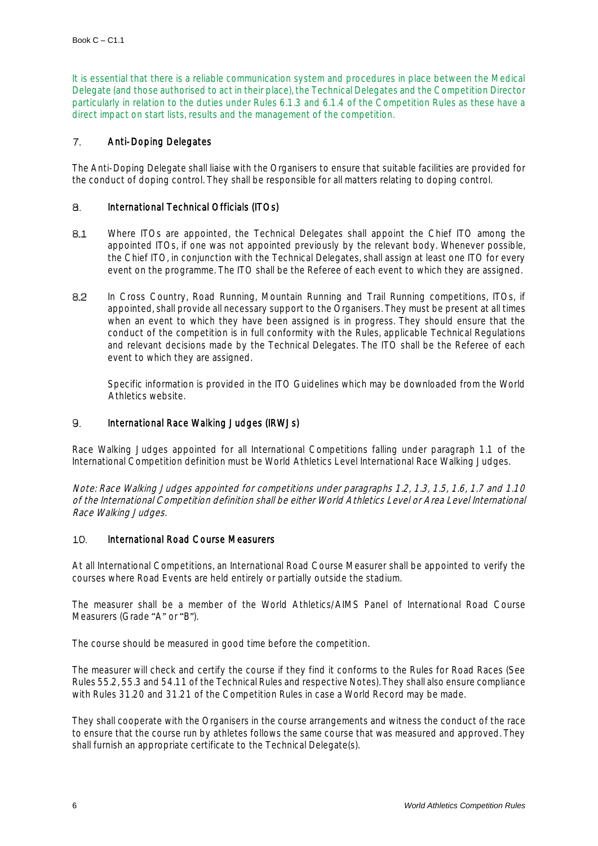It is essential that there is a reliable communication system and procedures in place between the Medical Delegate (and those authorised to act in their place), the Technical Delegates and the Competition Director particularly in relation to the duties under Rules 6.1.3 and 6.1.4 of the Competition Rules as these have a direct impact on start lists, results and the management of the competition.

#### $\mathcal{T}$ . Anti-Doping Delegates

The Anti-Doping Delegate shall liaise with the Organisers to ensure that suitable facilities are provided for the conduct of doping control. They shall be responsible for all matters relating to doping control.

#### 8. International Technical Officials (ITOs)

- $8.1$ Where ITOs are appointed, the Technical Delegates shall appoint the Chief ITO among the appointed ITOs, if one was not appointed previously by the relevant body. Whenever possible, the Chief ITO, in conjunction with the Technical Delegates, shall assign at least one ITO for every event on the programme. The ITO shall be the Referee of each event to which they are assigned.
- 82 In Cross Country, Road Running, Mountain Running and Trail Running competitions, ITOs, if appointed, shall provide all necessary support to the Organisers. They must be present at all times when an event to which they have been assigned is in progress. They should ensure that the conduct of the competition is in full conformity with the Rules, applicable Technical Regulations and relevant decisions made by the Technical Delegates. The ITO shall be the Referee of each event to which they are assigned.

Specific information is provided in the ITO Guidelines which may be downloaded from the World Athletics website.

#### 9. International Race Walking Judges (IRWJs)

Race Walking Judges appointed for all International Competitions falling under paragraph 1.1 of the International Competition definition must be World Athletics Level International Race Walking Judges.

Note: Race Walking Judges appointed for competitions under paragraphs 1.2, 1.3, 1.5, 1.6, 1.7 and 1.10 of the International Competition definition shall be either World Athletics Level or Area Level International Race Walking Judges.

#### $10<sub>1</sub>$ International Road Course Measurers

At all International Competitions, an International Road Course Measurer shall be appointed to verify the courses where Road Events are held entirely or partially outside the stadium.

The measurer shall be a member of the World Athletics/AIMS Panel of International Road Course Measurers (Grade "A" or "B").

The course should be measured in good time before the competition.

The measurer will check and certify the course if they find it conforms to the Rules for Road Races (See Rules 55.2, 55.3 and 54.11 of the Technical Rules and respective Notes). They shall also ensure compliance with Rules 31.20 and 31.21 of the Competition Rules in case a World Record may be made.

They shall cooperate with the Organisers in the course arrangements and witness the conduct of the race to ensure that the course run by athletes follows the same course that was measured and approved. They shall furnish an appropriate certificate to the Technical Delegate(s).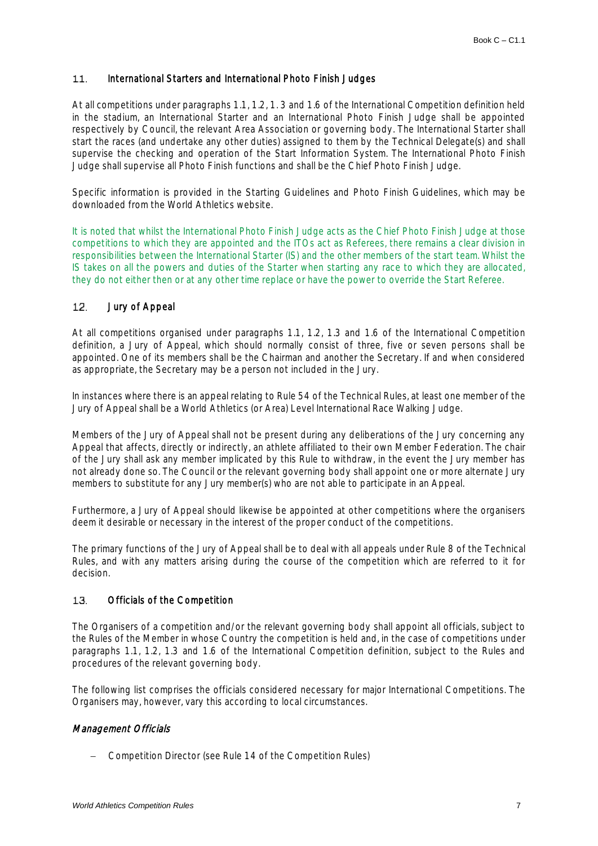#### International Starters and International Photo Finish Judges  $11.$

At all competitions under paragraphs 1.1, 1.2, 1. 3 and 1.6 of the International Competition definition held in the stadium, an International Starter and an International Photo Finish Judge shall be appointed respectively by Council, the relevant Area Association or governing body. The International Starter shall start the races (and undertake any other duties) assigned to them by the Technical Delegate(s) and shall supervise the checking and operation of the Start Information System. The International Photo Finish Judge shall supervise all Photo Finish functions and shall be the Chief Photo Finish Judge.

Specific information is provided in the Starting Guidelines and Photo Finish Guidelines, which may be downloaded from the World Athletics website.

It is noted that whilst the International Photo Finish Judge acts as the Chief Photo Finish Judge at those competitions to which they are appointed and the ITOs act as Referees, there remains a clear division in responsibilities between the International Starter (IS) and the other members of the start team. Whilst the IS takes on all the powers and duties of the Starter when starting any race to which they are allocated, they do not either then or at any other time replace or have the power to override the Start Referee.

#### $12.$ Jury of Appeal

At all competitions organised under paragraphs 1.1, 1.2, 1.3 and 1.6 of the International Competition definition, a Jury of Appeal, which should normally consist of three, five or seven persons shall be appointed. One of its members shall be the Chairman and another the Secretary. If and when considered as appropriate, the Secretary may be a person not included in the Jury.

In instances where there is an appeal relating to Rule 54 of the Technical Rules, at least one member of the Jury of Appeal shall be a World Athletics (or Area) Level International Race Walking Judge.

Members of the Jury of Appeal shall not be present during any deliberations of the Jury concerning any Appeal that affects, directly or indirectly, an athlete affiliated to their own Member Federation. The chair of the Jury shall ask any member implicated by this Rule to withdraw, in the event the Jury member has not already done so. The Council or the relevant governing body shall appoint one or more alternate Jury members to substitute for any Jury member(s) who are not able to participate in an Appeal.

Furthermore, a Jury of Appeal should likewise be appointed at other competitions where the organisers deem it desirable or necessary in the interest of the proper conduct of the competitions.

The primary functions of the Jury of Appeal shall be to deal with all appeals under Rule 8 of the Technical Rules, and with any matters arising during the course of the competition which are referred to it for decision.

#### Officials of the Competition 13.

The Organisers of a competition and/or the relevant governing body shall appoint all officials, subject to the Rules of the Member in whose Country the competition is held and, in the case of competitions under paragraphs 1.1, 1.2, 1.3 and 1.6 of the International Competition definition, subject to the Rules and procedures of the relevant governing body.

The following list comprises the officials considered necessary for major International Competitions. The Organisers may, however, vary this according to local circumstances.

### Management Officials

− Competition Director (see Rule 14 of the Competition Rules)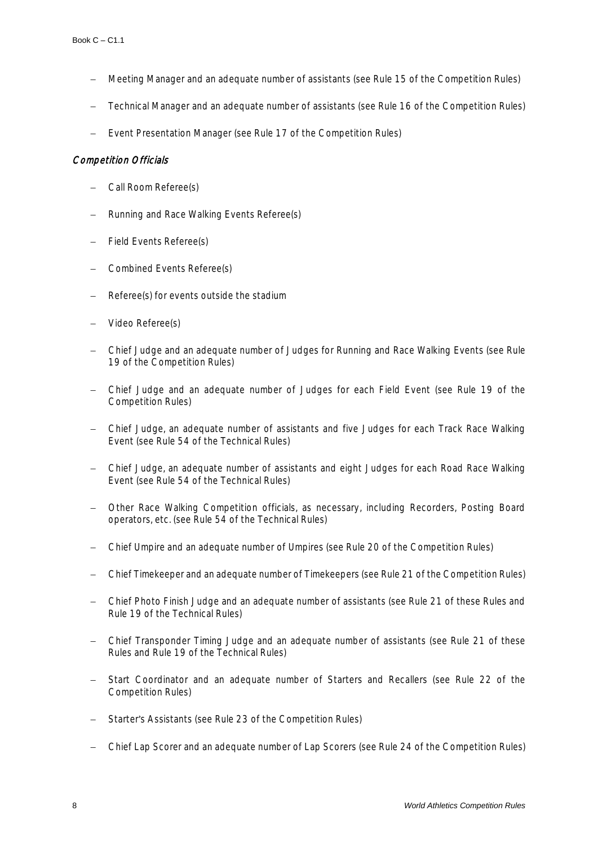- − Meeting Manager and an adequate number of assistants (see Rule 15 of the Competition Rules)
- − Technical Manager and an adequate number of assistants (see Rule 16 of the Competition Rules)
- − Event Presentation Manager (see Rule 17 of the Competition Rules)

# Competition Officials

- − Call Room Referee(s)
- − Running and Race Walking Events Referee(s)
- Field Events Referee(s)
- − Combined Events Referee(s)
- Referee(s) for events outside the stadium
- − Video Referee(s)
- − Chief Judge and an adequate number of Judges for Running and Race Walking Events (see Rule 19 of the Competition Rules)
- − Chief Judge and an adequate number of Judges for each Field Event (see Rule 19 of the Competition Rules)
- − Chief Judge, an adequate number of assistants and five Judges for each Track Race Walking Event (see Rule 54 of the Technical Rules)
- − Chief Judge, an adequate number of assistants and eight Judges for each Road Race Walking Event (see Rule 54 of the Technical Rules)
- − Other Race Walking Competition officials, as necessary, including Recorders, Posting Board operators, etc. (see Rule 54 of the Technical Rules)
- − Chief Umpire and an adequate number of Umpires (see Rule 20 of the Competition Rules)
- − Chief Timekeeper and an adequate number of Timekeepers (see Rule 21 of the Competition Rules)
- − Chief Photo Finish Judge and an adequate number of assistants (see Rule 21 of these Rules and Rule 19 of the Technical Rules)
- − Chief Transponder Timing Judge and an adequate number of assistants (see Rule 21 of these Rules and Rule 19 of the Technical Rules)
- Start Coordinator and an adequate number of Starters and Recallers (see Rule 22 of the Competition Rules)
- Starter's Assistants (see Rule 23 of the Competition Rules)
- − Chief Lap Scorer and an adequate number of Lap Scorers (see Rule 24 of the Competition Rules)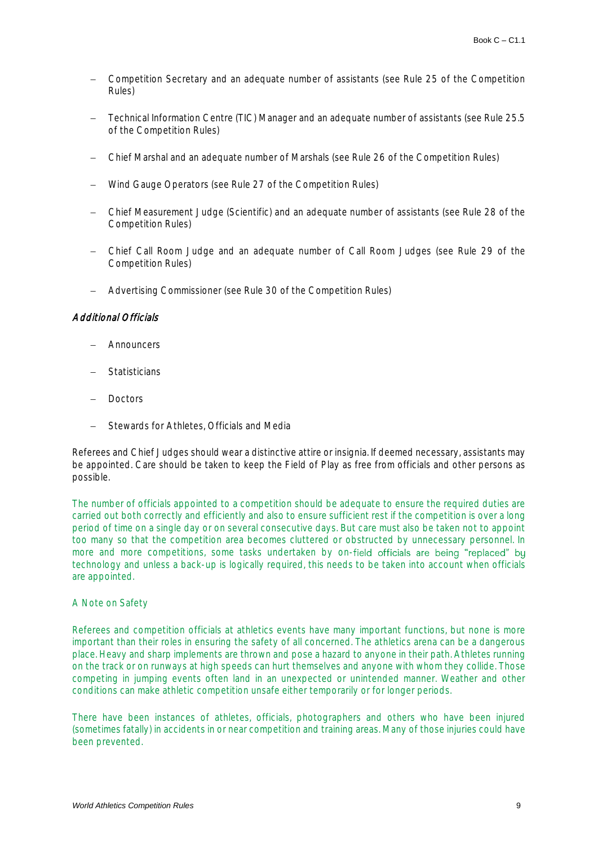- − Competition Secretary and an adequate number of assistants (see Rule 25 of the Competition Rules)
- − Technical Information Centre (TIC) Manager and an adequate number of assistants (see Rule 25.5 of the Competition Rules)
- − Chief Marshal and an adequate number of Marshals (see Rule 26 of the Competition Rules)
- − Wind Gauge Operators (see Rule 27 of the Competition Rules)
- − Chief Measurement Judge (Scientific) and an adequate number of assistants (see Rule 28 of the Competition Rules)
- − Chief Call Room Judge and an adequate number of Call Room Judges (see Rule 29 of the Competition Rules)
- − Advertising Commissioner (see Rule 30 of the Competition Rules)

### Additional Officials

- − Announcers
- − Statisticians
- − Doctors
- − Stewards for Athletes, Officials and Media

Referees and Chief Judges should wear a distinctive attire or insignia. If deemed necessary, assistants may be appointed. Care should be taken to keep the Field of Play as free from officials and other persons as possible.

The number of officials appointed to a competition should be adequate to ensure the required duties are carried out both correctly and efficiently and also to ensure sufficient rest if the competition is over a long period of time on a single day or on several consecutive days. But care must also be taken not to appoint too many so that the competition area becomes cluttered or obstructed by unnecessary personnel. In more and more competitions, some tasks undertaken by on-field officials are being "replaced" by technology and unless a back-up is logically required, this needs to be taken into account when officials are appointed.

### A Note on Safety

Referees and competition officials at athletics events have many important functions, but none is more important than their roles in ensuring the safety of all concerned. The athletics arena can be a dangerous place. Heavy and sharp implements are thrown and pose a hazard to anyone in their path. Athletes running on the track or on runways at high speeds can hurt themselves and anyone with whom they collide. Those competing in jumping events often land in an unexpected or unintended manner. Weather and other conditions can make athletic competition unsafe either temporarily or for longer periods.

There have been instances of athletes, officials, photographers and others who have been injured (sometimes fatally) in accidents in or near competition and training areas. Many of those injuries could have been prevented.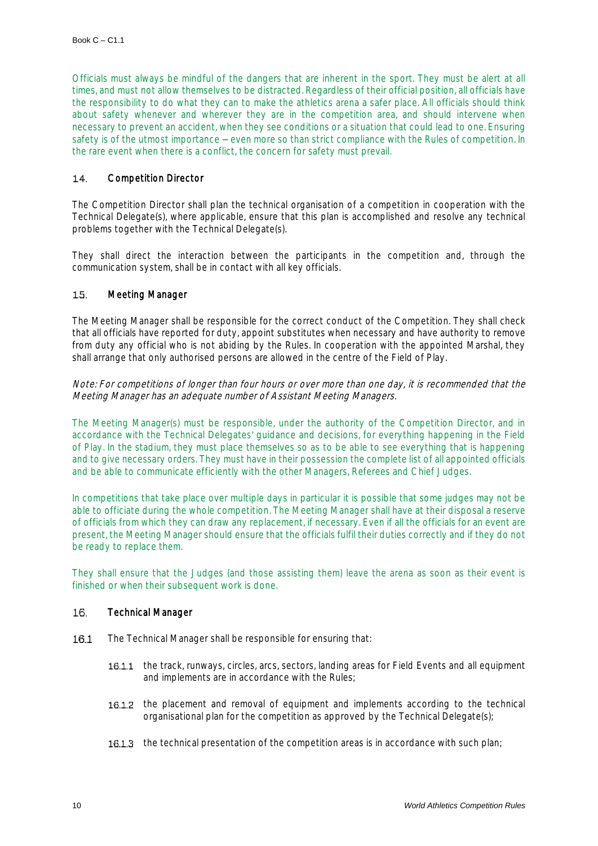Officials must always be mindful of the dangers that are inherent in the sport. They must be alert at all times, and must not allow themselves to be distracted. Regardless of their official position, all officials have the responsibility to do what they can to make the athletics arena a safer place. All officials should think about safety whenever and wherever they are in the competition area, and should intervene when necessary to prevent an accident, when they see conditions or a situation that could lead to one. Ensuring safety is of the utmost importance – even more so than strict compliance with the Rules of competition. In the rare event when there is a conflict, the concern for safety must prevail.

#### Competition Director  $14$

The Competition Director shall plan the technical organisation of a competition in cooperation with the Technical Delegate(s), where applicable, ensure that this plan is accomplished and resolve any technical problems together with the Technical Delegate(s).

They shall direct the interaction between the participants in the competition and, through the communication system, shall be in contact with all key officials.

#### $1.5$ Meeting Manager

The Meeting Manager shall be responsible for the correct conduct of the Competition. They shall check that all officials have reported for duty, appoint substitutes when necessary and have authority to remove from duty any official who is not abiding by the Rules. In cooperation with the appointed Marshal, they shall arrange that only authorised persons are allowed in the centre of the Field of Play.

Note: For competitions of longer than four hours or over more than one day, it is recommended that the Meeting Manager has an adequate number of Assistant Meeting Managers.

The Meeting Manager(s) must be responsible, under the authority of the Competition Director, and in accordance with the Technical Delegates' guidance and decisions, for everything happening in the Field of Play. In the stadium, they must place themselves so as to be able to see everything that is happening and to give necessary orders. They must have in their possession the complete list of all appointed officials and be able to communicate efficiently with the other Managers, Referees and Chief Judges.

In competitions that take place over multiple days in particular it is possible that some judges may not be able to officiate during the whole competition. The Meeting Manager shall have at their disposal a reserve of officials from which they can draw any replacement, if necessary. Even if all the officials for an event are present, the Meeting Manager should ensure that the officials fulfil their duties correctly and if they do not be ready to replace them.

They shall ensure that the Judges (and those assisting them) leave the arena as soon as their event is finished or when their subsequent work is done.

#### 16 Technical Manager

- 16.1 The Technical Manager shall be responsible for ensuring that:
	- 16.1.1 the track, runways, circles, arcs, sectors, landing areas for Field Events and all equipment and implements are in accordance with the Rules;
	- 16.1.2 the placement and removal of equipment and implements according to the technical organisational plan for the competition as approved by the Technical Delegate(s);
	- 16.1.3 the technical presentation of the competition areas is in accordance with such plan;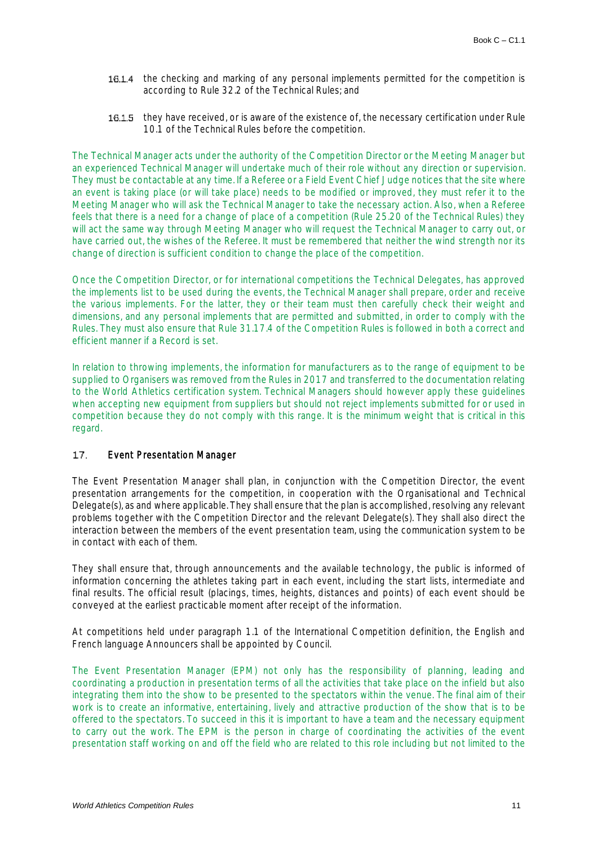- 16.1.4 the checking and marking of any personal implements permitted for the competition is according to Rule 32.2 of the Technical Rules; and
- 16.1.5 they have received, or is aware of the existence of, the necessary certification under Rule 10.1 of the Technical Rules before the competition.

The Technical Manager acts under the authority of the Competition Director or the Meeting Manager but an experienced Technical Manager will undertake much of their role without any direction or supervision. They must be contactable at any time. If a Referee or a Field Event Chief Judge notices that the site where an event is taking place (or will take place) needs to be modified or improved, they must refer it to the Meeting Manager who will ask the Technical Manager to take the necessary action. Also, when a Referee feels that there is a need for a change of place of a competition (Rule 25.20 of the Technical Rules) they will act the same way through Meeting Manager who will request the Technical Manager to carry out, or have carried out, the wishes of the Referee. It must be remembered that neither the wind strength nor its change of direction is sufficient condition to change the place of the competition.

Once the Competition Director, or for international competitions the Technical Delegates, has approved the implements list to be used during the events, the Technical Manager shall prepare, order and receive the various implements. For the latter, they or their team must then carefully check their weight and dimensions, and any personal implements that are permitted and submitted, in order to comply with the Rules. They must also ensure that Rule 31.17.4 of the Competition Rules is followed in both a correct and efficient manner if a Record is set.

In relation to throwing implements, the information for manufacturers as to the range of equipment to be supplied to Organisers was removed from the Rules in 2017 and transferred to the documentation relating to the World Athletics certification system. Technical Managers should however apply these guidelines when accepting new equipment from suppliers but should not reject implements submitted for or used in competition because they do not comply with this range. It is the minimum weight that is critical in this regard.

#### $17$ Event Presentation Manager

The Event Presentation Manager shall plan, in conjunction with the Competition Director, the event presentation arrangements for the competition, in cooperation with the Organisational and Technical Delegate(s), as and where applicable. They shall ensure that the plan is accomplished, resolving any relevant problems together with the Competition Director and the relevant Delegate(s). They shall also direct the interaction between the members of the event presentation team, using the communication system to be in contact with each of them.

They shall ensure that, through announcements and the available technology, the public is informed of information concerning the athletes taking part in each event, including the start lists, intermediate and final results. The official result (placings, times, heights, distances and points) of each event should be conveyed at the earliest practicable moment after receipt of the information.

At competitions held under paragraph 1.1 of the International Competition definition, the English and French language Announcers shall be appointed by Council.

The Event Presentation Manager (EPM) not only has the responsibility of planning, leading and coordinating a production in presentation terms of all the activities that take place on the infield but also integrating them into the show to be presented to the spectators within the venue. The final aim of their work is to create an informative, entertaining, lively and attractive production of the show that is to be offered to the spectators. To succeed in this it is important to have a team and the necessary equipment to carry out the work. The EPM is the person in charge of coordinating the activities of the event presentation staff working on and off the field who are related to this role including but not limited to the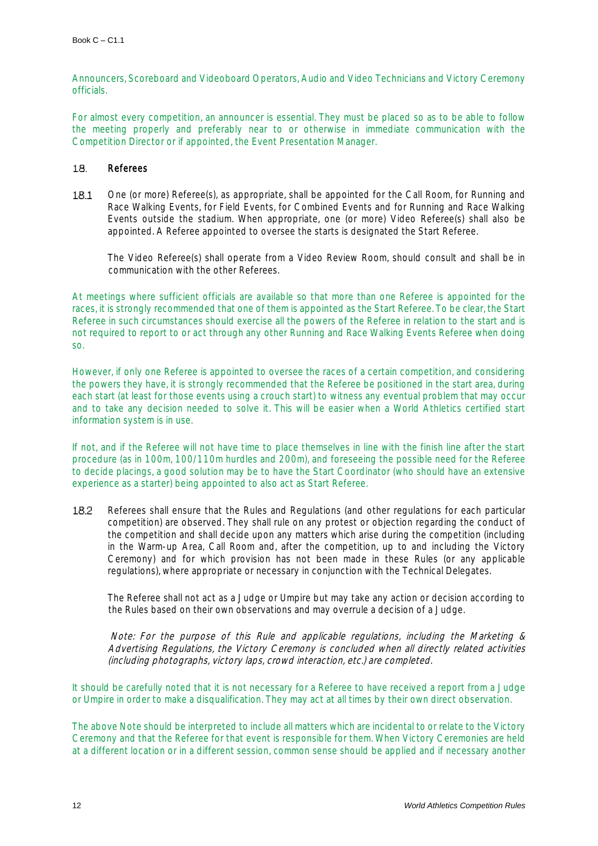Announcers, Scoreboard and Videoboard Operators, Audio and Video Technicians and Victory Ceremony officials.

For almost every competition, an announcer is essential. They must be placed so as to be able to follow the meeting properly and preferably near to or otherwise in immediate communication with the Competition Director or if appointed, the Event Presentation Manager.

#### 18. Referees

18.1 One (or more) Referee(s), as appropriate, shall be appointed for the Call Room, for Running and Race Walking Events, for Field Events, for Combined Events and for Running and Race Walking Events outside the stadium. When appropriate, one (or more) Video Referee(s) shall also be appointed. A Referee appointed to oversee the starts is designated the Start Referee.

The Video Referee(s) shall operate from a Video Review Room, should consult and shall be in communication with the other Referees.

At meetings where sufficient officials are available so that more than one Referee is appointed for the races, it is strongly recommended that one of them is appointed as the Start Referee. To be clear, the Start Referee in such circumstances should exercise all the powers of the Referee in relation to the start and is not required to report to or act through any other Running and Race Walking Events Referee when doing so.

However, if only one Referee is appointed to oversee the races of a certain competition, and considering the powers they have, it is strongly recommended that the Referee be positioned in the start area, during each start (at least for those events using a crouch start) to witness any eventual problem that may occur and to take any decision needed to solve it. This will be easier when a World Athletics certified start information system is in use.

If not, and if the Referee will not have time to place themselves in line with the finish line after the start procedure (as in 100m, 100/110m hurdles and 200m), and foreseeing the possible need for the Referee to decide placings, a good solution may be to have the Start Coordinator (who should have an extensive experience as a starter) being appointed to also act as Start Referee.

Referees shall ensure that the Rules and Regulations (and other regulations for each particular 18.2 competition) are observed. They shall rule on any protest or objection regarding the conduct of the competition and shall decide upon any matters which arise during the competition (including in the Warm-up Area, Call Room and, after the competition, up to and including the Victory Ceremony) and for which provision has not been made in these Rules (or any applicable regulations), where appropriate or necessary in conjunction with the Technical Delegates.

The Referee shall not act as a Judge or Umpire but may take any action or decision according to the Rules based on their own observations and may overrule a decision of a Judge.

Note: For the purpose of this Rule and applicable regulations, including the Marketing & Advertising Regulations, the Victory Ceremony is concluded when all directly related activities (including photographs, victory laps, crowd interaction, etc.) are completed.

It should be carefully noted that it is not necessary for a Referee to have received a report from a Judge or Umpire in order to make a disqualification. They may act at all times by their own direct observation.

The above Note should be interpreted to include all matters which are incidental to or relate to the Victory Ceremony and that the Referee for that event is responsible for them. When Victory Ceremonies are held at a different location or in a different session, common sense should be applied and if necessary another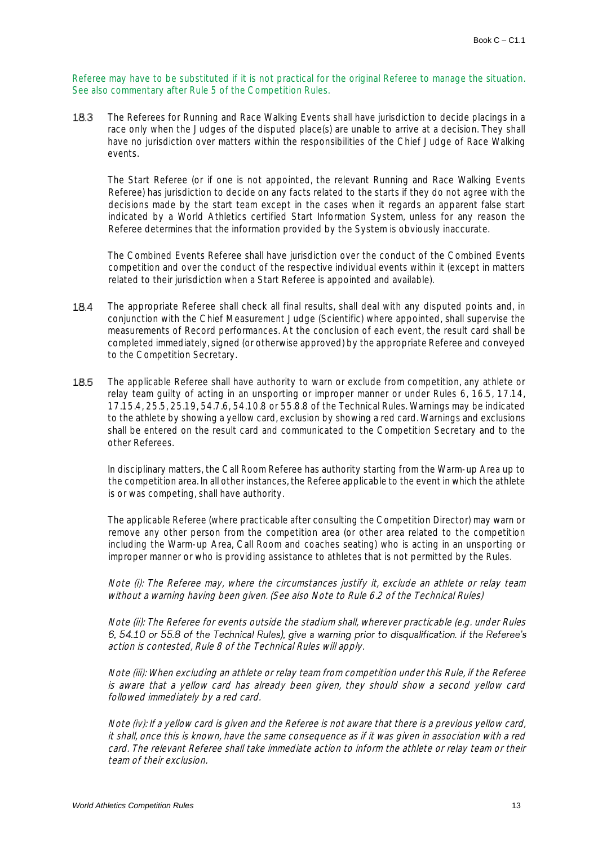Referee may have to be substituted if it is not practical for the original Referee to manage the situation. See also commentary after Rule 5 of the Competition Rules.

The Referees for Running and Race Walking Events shall have jurisdiction to decide placings in a 18.3 race only when the Judges of the disputed place(s) are unable to arrive at a decision. They shall have no jurisdiction over matters within the responsibilities of the Chief Judge of Race Walking events.

The Start Referee (or if one is not appointed, the relevant Running and Race Walking Events Referee) has jurisdiction to decide on any facts related to the starts if they do not agree with the decisions made by the start team except in the cases when it regards an apparent false start indicated by a World Athletics certified Start Information System, unless for any reason the Referee determines that the information provided by the System is obviously inaccurate.

The Combined Events Referee shall have jurisdiction over the conduct of the Combined Events competition and over the conduct of the respective individual events within it (except in matters related to their jurisdiction when a Start Referee is appointed and available).

- 18.4 The appropriate Referee shall check all final results, shall deal with any disputed points and, in conjunction with the Chief Measurement Judge (Scientific) where appointed, shall supervise the measurements of Record performances. At the conclusion of each event, the result card shall be completed immediately, signed (or otherwise approved) by the appropriate Referee and conveyed to the Competition Secretary.
- 18.5 The applicable Referee shall have authority to warn or exclude from competition, any athlete or relay team guilty of acting in an unsporting or improper manner or under Rules 6, 16.5, 17.14, 17.15.4, 25.5, 25.19, 54.7.6, 54.10.8 or 55.8.8 of the Technical Rules. Warnings may be indicated to the athlete by showing a yellow card, exclusion by showing a red card. Warnings and exclusions shall be entered on the result card and communicated to the Competition Secretary and to the other Referees.

In disciplinary matters, the Call Room Referee has authority starting from the Warm-up Area up to the competition area. In all other instances, the Referee applicable to the event in which the athlete is or was competing, shall have authority.

The applicable Referee (where practicable after consulting the Competition Director) may warn or remove any other person from the competition area (or other area related to the competition including the Warm-up Area, Call Room and coaches seating) who is acting in an unsporting or improper manner or who is providing assistance to athletes that is not permitted by the Rules.

Note (i): The Referee may, where the circumstances justify it, exclude an athlete or relay team without a warning having been given. (See also Note to Rule 6.2 of the Technical Rules)

Note (ii): The Referee for events outside the stadium shall, wherever practicable (e.g. under Rules 6, 54.10 or 55.8 of the Technical Rules), give a warning prior to disqualification. If the Referee's action is contested, Rule 8 of the Technical Rules will apply.

Note (iii): When excluding an athlete or relay team from competition under this Rule, if the Referee is aware that a yellow card has already been given, they should show a second yellow card followed immediately by a red card.

Note (iv): If a yellow card is given and the Referee is not aware that there is a previous yellow card, it shall, once this is known, have the same consequence as if it was given in association with a red card. The relevant Referee shall take immediate action to inform the athlete or relay team or their team of their exclusion.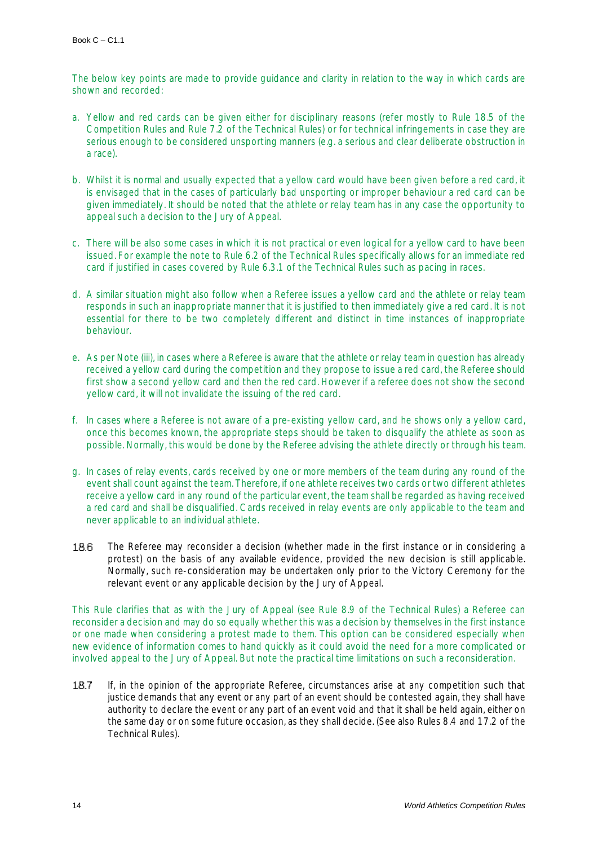The below key points are made to provide guidance and clarity in relation to the way in which cards are shown and recorded:

- a. Yellow and red cards can be given either for disciplinary reasons (refer mostly to Rule 18.5 of the Competition Rules and Rule 7.2 of the Technical Rules) or for technical infringements in case they are serious enough to be considered unsporting manners (e.g. a serious and clear deliberate obstruction in a race).
- b. Whilst it is normal and usually expected that a yellow card would have been given before a red card, it is envisaged that in the cases of particularly bad unsporting or improper behaviour a red card can be given immediately. It should be noted that the athlete or relay team has in any case the opportunity to appeal such a decision to the Jury of Appeal.
- c. There will be also some cases in which it is not practical or even logical for a yellow card to have been issued. For example the note to Rule 6.2 of the Technical Rules specifically allows for an immediate red card if justified in cases covered by Rule 6.3.1 of the Technical Rules such as pacing in races.
- d. A similar situation might also follow when a Referee issues a yellow card and the athlete or relay team responds in such an inappropriate manner that it is justified to then immediately give a red card. It is not essential for there to be two completely different and distinct in time instances of inappropriate behaviour.
- e. As per Note (iii), in cases where a Referee is aware that the athlete or relay team in question has already received a yellow card during the competition and they propose to issue a red card, the Referee should first show a second yellow card and then the red card. However if a referee does not show the second yellow card, it will not invalidate the issuing of the red card.
- f. In cases where a Referee is not aware of a pre-existing yellow card, and he shows only a yellow card, once this becomes known, the appropriate steps should be taken to disqualify the athlete as soon as possible. Normally, this would be done by the Referee advising the athlete directly or through his team.
- g. In cases of relay events, cards received by one or more members of the team during any round of the event shall count against the team. Therefore, if one athlete receives two cards or two different athletes receive a yellow card in any round of the particular event, the team shall be regarded as having received a red card and shall be disqualified. Cards received in relay events are only applicable to the team and never applicable to an individual athlete.
- 18.6 The Referee may reconsider a decision (whether made in the first instance or in considering a protest) on the basis of any available evidence, provided the new decision is still applicable. Normally, such re-consideration may be undertaken only prior to the Victory Ceremony for the relevant event or any applicable decision by the Jury of Appeal.

This Rule clarifies that as with the Jury of Appeal (see Rule 8.9 of the Technical Rules) a Referee can reconsider a decision and may do so equally whether this was a decision by themselves in the first instance or one made when considering a protest made to them. This option can be considered especially when new evidence of information comes to hand quickly as it could avoid the need for a more complicated or involved appeal to the Jury of Appeal. But note the practical time limitations on such a reconsideration.

If, in the opinion of the appropriate Referee, circumstances arise at any competition such that 18.7 justice demands that any event or any part of an event should be contested again, they shall have authority to declare the event or any part of an event void and that it shall be held again, either on the same day or on some future occasion, as they shall decide. (See also Rules 8.4 and 17.2 of the Technical Rules).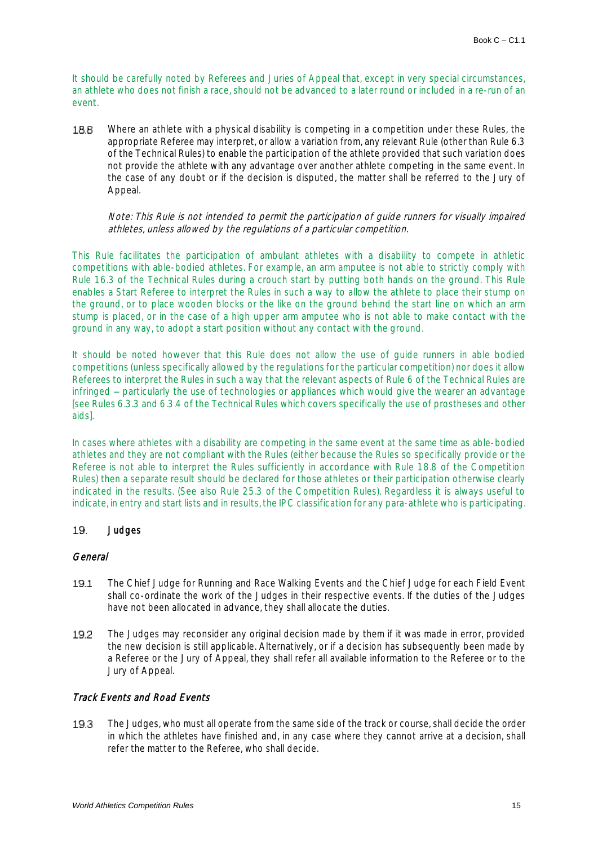It should be carefully noted by Referees and Juries of Appeal that, except in very special circumstances, an athlete who does not finish a race, should not be advanced to a later round or included in a re-run of an event.

188 Where an athlete with a physical disability is competing in a competition under these Rules, the appropriate Referee may interpret, or allow a variation from, any relevant Rule (other than Rule 6.3 of the Technical Rules) to enable the participation of the athlete provided that such variation does not provide the athlete with any advantage over another athlete competing in the same event. In the case of any doubt or if the decision is disputed, the matter shall be referred to the Jury of Appeal.

### Note: This Rule is not intended to permit the participation of guide runners for visually impaired athletes, unless allowed by the regulations of a particular competition.

This Rule facilitates the participation of ambulant athletes with a disability to compete in athletic competitions with able-bodied athletes. For example, an arm amputee is not able to strictly comply with Rule 16.3 of the Technical Rules during a crouch start by putting both hands on the ground. This Rule enables a Start Referee to interpret the Rules in such a way to allow the athlete to place their stump on the ground, or to place wooden blocks or the like on the ground behind the start line on which an arm stump is placed, or in the case of a high upper arm amputee who is not able to make contact with the ground in any way, to adopt a start position without any contact with the ground.

It should be noted however that this Rule does not allow the use of guide runners in able bodied competitions (unless specifically allowed by the regulations for the particular competition) nor does it allow Referees to interpret the Rules in such a way that the relevant aspects of Rule 6 of the Technical Rules are infringed – particularly the use of technologies or appliances which would give the wearer an advantage [see Rules 6.3.3 and 6.3.4 of the Technical Rules which covers specifically the use of prostheses and other aids].

In cases where athletes with a disability are competing in the same event at the same time as able-bodied athletes and they are not compliant with the Rules (either because the Rules so specifically provide or the Referee is not able to interpret the Rules sufficiently in accordance with Rule 18.8 of the Competition Rules) then a separate result should be declared for those athletes or their participation otherwise clearly indicated in the results. (See also Rule 25.3 of the Competition Rules). Regardless it is always useful to indicate, in entry and start lists and in results, the IPC classification for any para-athlete who is participating.

#### 19. **Judges**

## General

- The Chief Judge for Running and Race Walking Events and the Chief Judge for each Field Event 19.1 shall co-ordinate the work of the Judges in their respective events. If the duties of the Judges have not been allocated in advance, they shall allocate the duties.
- 19.2 The Judges may reconsider any original decision made by them if it was made in error, provided the new decision is still applicable. Alternatively, or if a decision has subsequently been made by a Referee or the Jury of Appeal, they shall refer all available information to the Referee or to the Jury of Appeal.

# Track Events and Road Events

19.3 The Judges, who must all operate from the same side of the track or course, shall decide the order in which the athletes have finished and, in any case where they cannot arrive at a decision, shall refer the matter to the Referee, who shall decide.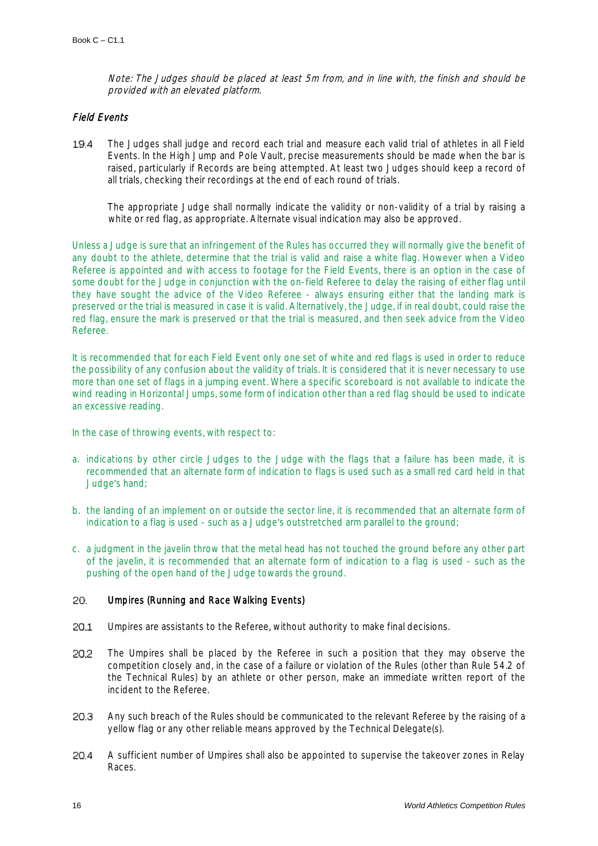Note: The Judges should be placed at least 5m from, and in line with, the finish and should be provided with an elevated platform.

# Field Events

19.4 The Judges shall judge and record each trial and measure each valid trial of athletes in all Field Events. In the High Jump and Pole Vault, precise measurements should be made when the bar is raised, particularly if Records are being attempted. At least two Judges should keep a record of all trials, checking their recordings at the end of each round of trials.

The appropriate Judge shall normally indicate the validity or non-validity of a trial by raising a white or red flag, as appropriate. Alternate visual indication may also be approved.

Unless a Judge is sure that an infringement of the Rules has occurred they will normally give the benefit of any doubt to the athlete, determine that the trial is valid and raise a white flag. However when a Video Referee is appointed and with access to footage for the Field Events, there is an option in the case of some doubt for the Judge in conjunction with the on-field Referee to delay the raising of either flag until they have sought the advice of the Video Referee - always ensuring either that the landing mark is preserved or the trial is measured in case it is valid. Alternatively, the Judge, if in real doubt, could raise the red flag, ensure the mark is preserved or that the trial is measured, and then seek advice from the Video Referee.

It is recommended that for each Field Event only one set of white and red flags is used in order to reduce the possibility of any confusion about the validity of trials. It is considered that it is never necessary to use more than one set of flags in a jumping event. Where a specific scoreboard is not available to indicate the wind reading in Horizontal Jumps, some form of indication other than a red flag should be used to indicate an excessive reading.

In the case of throwing events, with respect to:

- a. indications by other circle Judges to the Judge with the flags that a failure has been made, it is recommended that an alternate form of indication to flags is used such as a small red card held in that Judge's hand;
- b. the landing of an implement on or outside the sector line, it is recommended that an alternate form of indication to a flag is used - such as a Judge's outstretched arm parallel to the ground;
- c. a judgment in the javelin throw that the metal head has not touched the ground before any other part of the javelin, it is recommended that an alternate form of indication to a flag is used - such as the pushing of the open hand of the Judge towards the ground.

#### Umpires (Running and Race Walking Events) 20.

- 20.1 Umpires are assistants to the Referee, without authority to make final decisions.
- 20.2 The Umpires shall be placed by the Referee in such a position that they may observe the competition closely and, in the case of a failure or violation of the Rules (other than Rule 54.2 of the Technical Rules) by an athlete or other person, make an immediate written report of the incident to the Referee.
- 20.3 Any such breach of the Rules should be communicated to the relevant Referee by the raising of a yellow flag or any other reliable means approved by the Technical Delegate(s).
- 20.4 A sufficient number of Umpires shall also be appointed to supervise the takeover zones in Relay Races.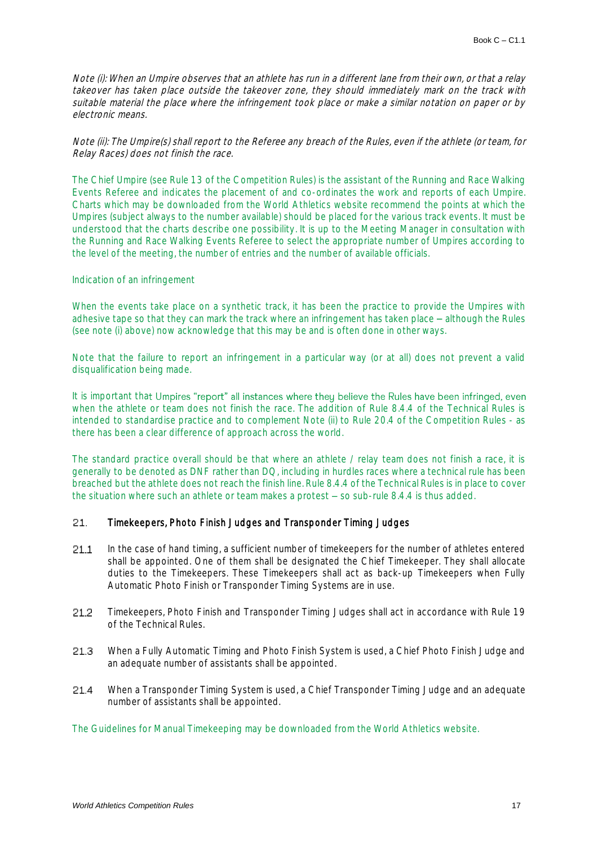Note (i): When an Umpire observes that an athlete has run in a different lane from their own, or that a relay takeover has taken place outside the takeover zone, they should immediately mark on the track with suitable material the place where the infringement took place or make a similar notation on paper or by electronic means.

Note (ii): The Umpire(s) shall report to the Referee any breach of the Rules, even if the athlete (or team, for Relay Races) does not finish the race.

The Chief Umpire (see Rule 13 of the Competition Rules) is the assistant of the Running and Race Walking Events Referee and indicates the placement of and co-ordinates the work and reports of each Umpire. Charts which may be downloaded from the World Athletics website recommend the points at which the Umpires (subject always to the number available) should be placed for the various track events. It must be understood that the charts describe one possibility. It is up to the Meeting Manager in consultation with the Running and Race Walking Events Referee to select the appropriate number of Umpires according to the level of the meeting, the number of entries and the number of available officials.

### Indication of an infringement

When the events take place on a synthetic track, it has been the practice to provide the Umpires with adhesive tape so that they can mark the track where an infringement has taken place – although the Rules (see note (i) above) now acknowledge that this may be and is often done in other ways.

Note that the failure to report an infringement in a particular way (or at all) does not prevent a valid disqualification being made.

It is important that Umpires "report" all instances where they believe the Rules have been infringed, even when the athlete or team does not finish the race. The addition of Rule 8.4.4 of the Technical Rules is intended to standardise practice and to complement Note (ii) to Rule 20.4 of the Competition Rules - as there has been a clear difference of approach across the world.

The standard practice overall should be that where an athlete / relay team does not finish a race, it is generally to be denoted as DNF rather than DQ, including in hurdles races where a technical rule has been breached but the athlete does not reach the finish line. Rule 8.4.4 of the Technical Rules is in place to cover the situation where such an athlete or team makes a protest  $-$  so sub-rule 8.4.4 is thus added.

#### 21. Timekeepers, Photo Finish Judges and Transponder Timing Judges

- $21.1$ In the case of hand timing, a sufficient number of timekeepers for the number of athletes entered shall be appointed. One of them shall be designated the Chief Timekeeper. They shall allocate duties to the Timekeepers. These Timekeepers shall act as back-up Timekeepers when Fully Automatic Photo Finish or Transponder Timing Systems are in use.
- 21.2 Timekeepers, Photo Finish and Transponder Timing Judges shall act in accordance with Rule 19 of the Technical Rules.
- 21.3 When a Fully Automatic Timing and Photo Finish System is used, a Chief Photo Finish Judge and an adequate number of assistants shall be appointed.
- When a Transponder Timing System is used, a Chief Transponder Timing Judge and an adequate 21.4 number of assistants shall be appointed.

The Guidelines for Manual Timekeeping may be downloaded from the World Athletics website.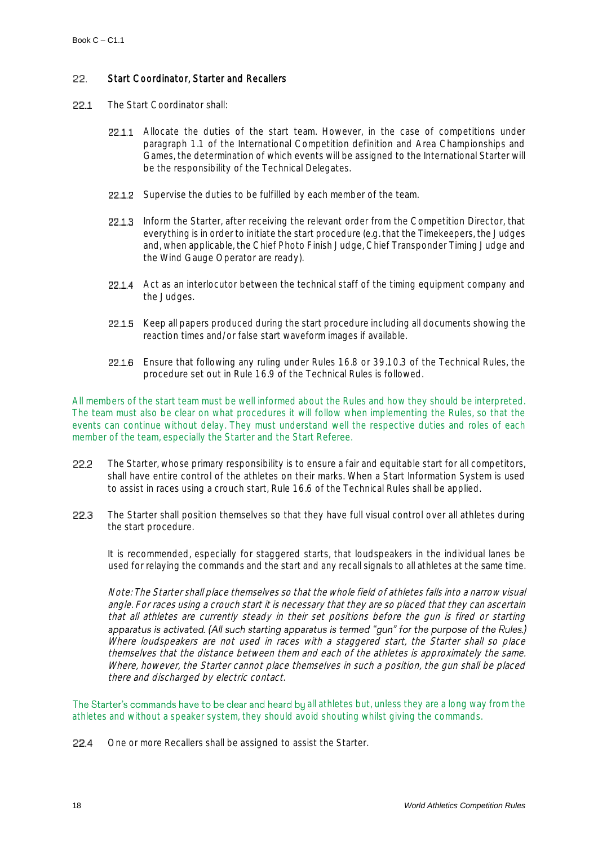#### 22. Start Coordinator, Starter and Recallers

- $22.1$ The Start Coordinator shall:
	- 22.1.1 Allocate the duties of the start team. However, in the case of competitions under paragraph 1.1 of the International Competition definition and Area Championships and Games, the determination of which events will be assigned to the International Starter will be the responsibility of the Technical Delegates.
	- 22.1.2 Supervise the duties to be fulfilled by each member of the team.
	- 22.1.3 Inform the Starter, after receiving the relevant order from the Competition Director, that everything is in order to initiate the start procedure (e.g. that the Timekeepers, the Judges and, when applicable, the Chief Photo Finish Judge, Chief Transponder Timing Judge and the Wind Gauge Operator are ready).
	- 22.1.4 Act as an interlocutor between the technical staff of the timing equipment company and the Judges.
	- 22.1.5 Keep all papers produced during the start procedure including all documents showing the reaction times and/or false start waveform images if available.
	- Ensure that following any ruling under Rules 16.8 or 39.10.3 of the Technical Rules, the procedure set out in Rule 16.9 of the Technical Rules is followed.

All members of the start team must be well informed about the Rules and how they should be interpreted. The team must also be clear on what procedures it will follow when implementing the Rules, so that the events can continue without delay. They must understand well the respective duties and roles of each member of the team, especially the Starter and the Start Referee.

- 22.2 The Starter, whose primary responsibility is to ensure a fair and equitable start for all competitors, shall have entire control of the athletes on their marks. When a Start Information System is used to assist in races using a crouch start, Rule 16.6 of the Technical Rules shall be applied.
- 22.3 The Starter shall position themselves so that they have full visual control over all athletes during the start procedure.

It is recommended, especially for staggered starts, that loudspeakers in the individual lanes be used for relaying the commands and the start and any recall signals to all athletes at the same time.

Note: The Starter shall place themselves so that the whole field of athletes falls into a narrow visual angle. For races using a crouch start it is necessary that they are so placed that they can ascertain that all athletes are currently steady in their set positions before the gun is fired or starting apparatus is activated. (All such starting apparatus is termed "gun" for the purpose of the Rules.) Where loudspeakers are not used in races with a staggered start, the Starter shall so place themselves that the distance between them and each of the athletes is approximately the same. Where, however, the Starter cannot place themselves in such a position, the gun shall be placed there and discharged by electric contact.

The Starter's commands have to be clear and heard by all athletes but, unless they are a long way from the athletes and without a speaker system, they should avoid shouting whilst giving the commands.

22.4 One or more Recallers shall be assigned to assist the Starter.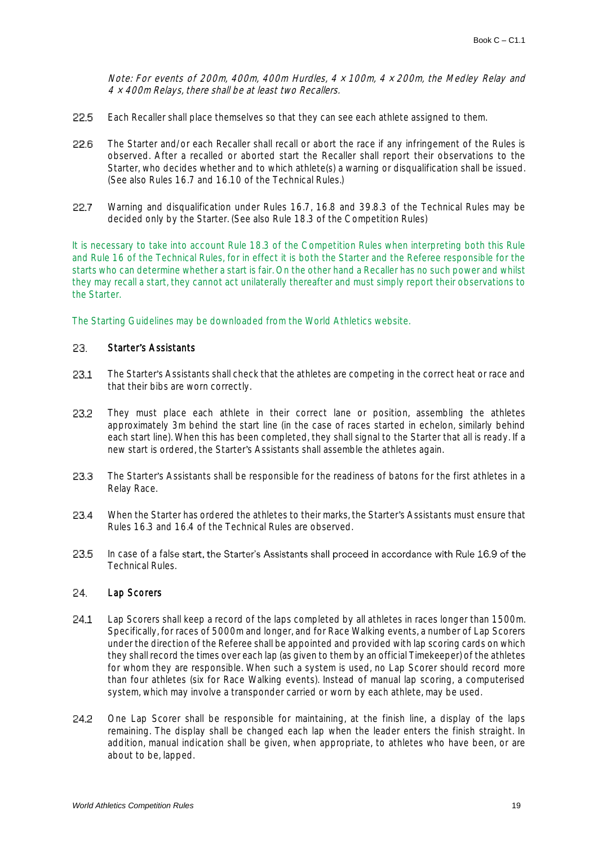Note: For events of 200m, 400m, 400m Hurdles, 4 <sup>×</sup> 100m, 4 <sup>×</sup> 200m, the Medley Relay and 4 <sup>×</sup> 400m Relays, there shall be at least two Recallers.

- 22.5 Each Recaller shall place themselves so that they can see each athlete assigned to them.
- 22.6 The Starter and/or each Recaller shall recall or abort the race if any infringement of the Rules is observed. After a recalled or aborted start the Recaller shall report their observations to the Starter, who decides whether and to which athlete(s) a warning or disqualification shall be issued. (See also Rules 16.7 and 16.10 of the Technical Rules.)
- Warning and disqualification under Rules 16.7, 16.8 and 39.8.3 of the Technical Rules may be 22.7 decided only by the Starter. (See also Rule 18.3 of the Competition Rules)

It is necessary to take into account Rule 18.3 of the Competition Rules when interpreting both this Rule and Rule 16 of the Technical Rules, for in effect it is both the Starter and the Referee responsible for the starts who can determine whether a start is fair. On the other hand a Recaller has no such power and whilst they may recall a start, they cannot act unilaterally thereafter and must simply report their observations to the Starter.

The Starting Guidelines may be downloaded from the World Athletics website.

#### 23. Starter's Assistants

- 23.1 The Starter's Assistants shall check that the athletes are competing in the correct heat or race and that their bibs are worn correctly.
- 23.2 They must place each athlete in their correct lane or position, assembling the athletes approximately 3m behind the start line (in the case of races started in echelon, similarly behind each start line). When this has been completed, they shall signal to the Starter that all is ready. If a new start is ordered, the Starter's Assistants shall assemble the athletes again.
- 23.3 The Starter's Assistants shall be responsible for the readiness of batons for the first athletes in a Relay Race.
- 23.4 When the Starter has ordered the athletes to their marks, the Starter's Assistants must ensure that Rules 16.3 and 16.4 of the Technical Rules are observed.
- 23.5 In case of a false start, the Starter's Assistants shall proceed in accordance with Rule 16.9 of the Technical Rules.

#### $24.$ Lap Scorers

- $24.1$ Lap Scorers shall keep a record of the laps completed by all athletes in races longer than 1500m. Specifically, for races of 5000m and longer, and for Race Walking events, a number of Lap Scorers under the direction of the Referee shall be appointed and provided with lap scoring cards on which they shall record the times over each lap (as given to them by an official Timekeeper) of the athletes for whom they are responsible. When such a system is used, no Lap Scorer should record more than four athletes (six for Race Walking events). Instead of manual lap scoring, a computerised system, which may involve a transponder carried or worn by each athlete, may be used.
- 24.2 One Lap Scorer shall be responsible for maintaining, at the finish line, a display of the laps remaining. The display shall be changed each lap when the leader enters the finish straight. In addition, manual indication shall be given, when appropriate, to athletes who have been, or are about to be, lapped.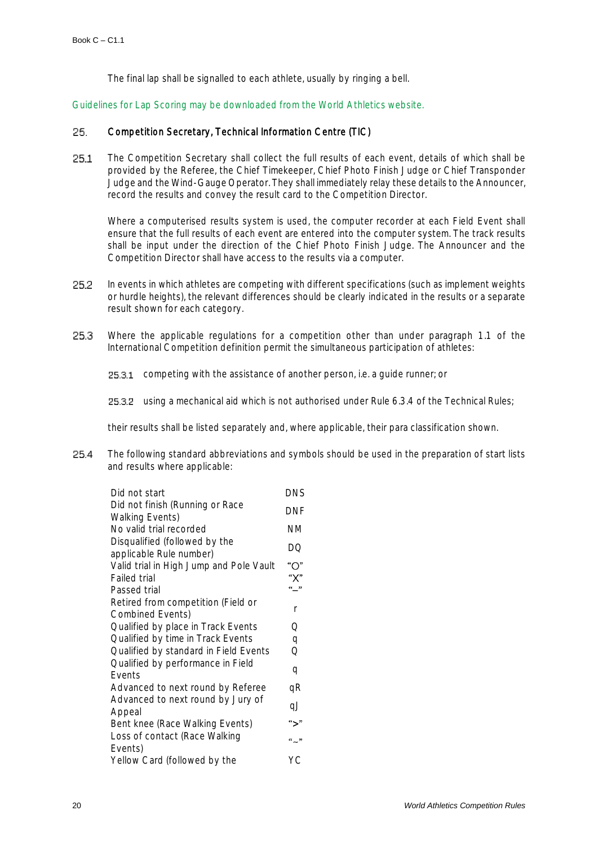The final lap shall be signalled to each athlete, usually by ringing a bell.

Guidelines for Lap Scoring may be downloaded from the World Athletics website.

#### 25. Competition Secretary, Technical Information Centre (TIC)

25.1 The Competition Secretary shall collect the full results of each event, details of which shall be provided by the Referee, the Chief Timekeeper, Chief Photo Finish Judge or Chief Transponder Judge and the Wind-Gauge Operator. They shall immediately relay these details to the Announcer, record the results and convey the result card to the Competition Director.

Where a computerised results system is used, the computer recorder at each Field Event shall ensure that the full results of each event are entered into the computer system. The track results shall be input under the direction of the Chief Photo Finish Judge. The Announcer and the Competition Director shall have access to the results via a computer.

- 25.2 In events in which athletes are competing with different specifications (such as implement weights or hurdle heights), the relevant differences should be clearly indicated in the results or a separate result shown for each category.
- Where the applicable regulations for a competition other than under paragraph 1.1 of the 25.3 International Competition definition permit the simultaneous participation of athletes:
	- **25.3.1** competing with the assistance of another person, i.e. a quide runner; or
	- 25.3.2 using a mechanical aid which is not authorised under Rule 6.3.4 of the Technical Rules;

their results shall be listed separately and, where applicable, their para classification shown.

25.4 The following standard abbreviations and symbols should be used in the preparation of start lists and results where applicable:

| Did not start                           | <b>DNS</b> |
|-----------------------------------------|------------|
| Did not finish (Running or Race         | DNF        |
| <b>Walking Events)</b>                  |            |
| No valid trial recorded                 | ΝM         |
| Disqualified (followed by the           | DQ         |
| applicable Rule number)                 |            |
| Valid trial in High Jump and Pole Vault | " $O$ "    |
| <b>Failed trial</b>                     | " $X$ "    |
| Passed trial                            | «_ »       |
| Retired from competition (Field or      | r          |
| <b>Combined Events)</b>                 |            |
| Qualified by place in Track Events      | Q          |
| Qualified by time in Track Events       | q          |
| Qualified by standard in Field Events   | Q          |
| Qualified by performance in Field       |            |
| Events                                  | q          |
| Advanced to next round by Referee       | qR         |
| Advanced to next round by Jury of       | qJ         |
| Appeal                                  |            |
| Bent knee (Race Walking Events)         | ">"        |
| Loss of contact (Race Walking           | $a_{11}$   |
| Events)                                 |            |
| Yellow Card (followed by the            | YС         |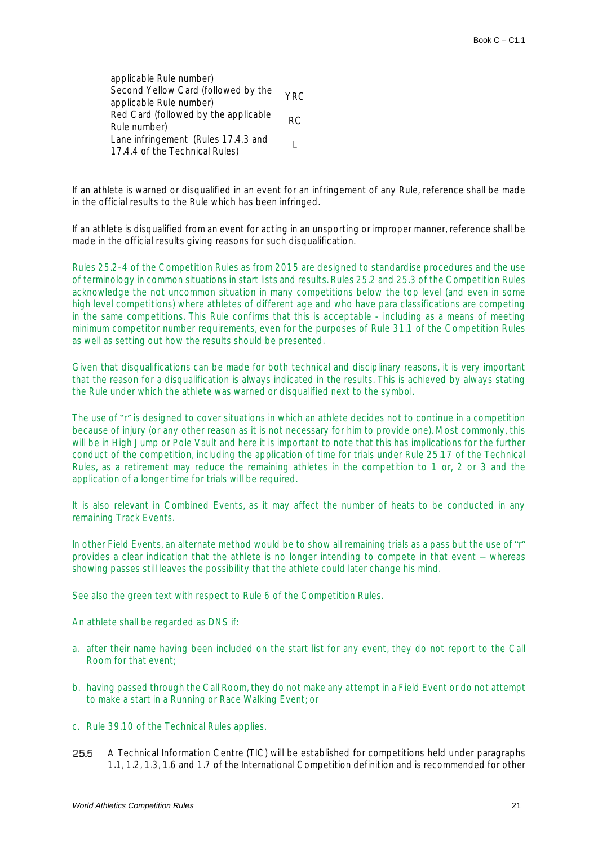applicable Rule number) Second Yellow Card (followed by the Second Yellow Card (followed by the YRC<br>applicable Rule number) Red Card (followed by the applicable RC<br>Rule number) Lane infringement (Rules 17.4.3 and Lane immigement (ivales 17.4.5 and Lane in the Technical Rules)

If an athlete is warned or disqualified in an event for an infringement of any Rule, reference shall be made in the official results to the Rule which has been infringed.

If an athlete is disqualified from an event for acting in an unsporting or improper manner, reference shall be made in the official results giving reasons for such disqualification.

Rules 25.2-4 of the Competition Rules as from 2015 are designed to standardise procedures and the use of terminology in common situations in start lists and results. Rules 25.2 and 25.3 of the Competition Rules acknowledge the not uncommon situation in many competitions below the top level (and even in some high level competitions) where athletes of different age and who have para classifications are competing in the same competitions. This Rule confirms that this is acceptable - including as a means of meeting minimum competitor number requirements, even for the purposes of Rule 31.1 of the Competition Rules as well as setting out how the results should be presented.

Given that disqualifications can be made for both technical and disciplinary reasons, it is very important that the reason for a disqualification is always indicated in the results. This is achieved by always stating the Rule under which the athlete was warned or disqualified next to the symbol.

The use of "r" is designed to cover situations in which an athlete decides not to continue in a competition because of injury (or any other reason as it is not necessary for him to provide one). Most commonly, this will be in High Jump or Pole Vault and here it is important to note that this has implications for the further conduct of the competition, including the application of time for trials under Rule 25.17 of the Technical Rules, as a retirement may reduce the remaining athletes in the competition to 1 or, 2 or 3 and the application of a longer time for trials will be required.

It is also relevant in Combined Events, as it may affect the number of heats to be conducted in any remaining Track Events.

In other Field Events, an alternate method would be to show all remaining trials as a pass but the use of "r" provides a clear indication that the athlete is no longer intending to compete in that event – whereas showing passes still leaves the possibility that the athlete could later change his mind.

See also the green text with respect to Rule 6 of the Competition Rules.

An athlete shall be regarded as DNS if:

- a. after their name having been included on the start list for any event, they do not report to the Call Room for that event;
- b. having passed through the Call Room, they do not make any attempt in a Field Event or do not attempt to make a start in a Running or Race Walking Event; or
- c. Rule 39.10 of the Technical Rules applies.
- 25.5 A Technical Information Centre (TIC) will be established for competitions held under paragraphs 1.1, 1.2, 1.3, 1.6 and 1.7 of the International Competition definition and is recommended for other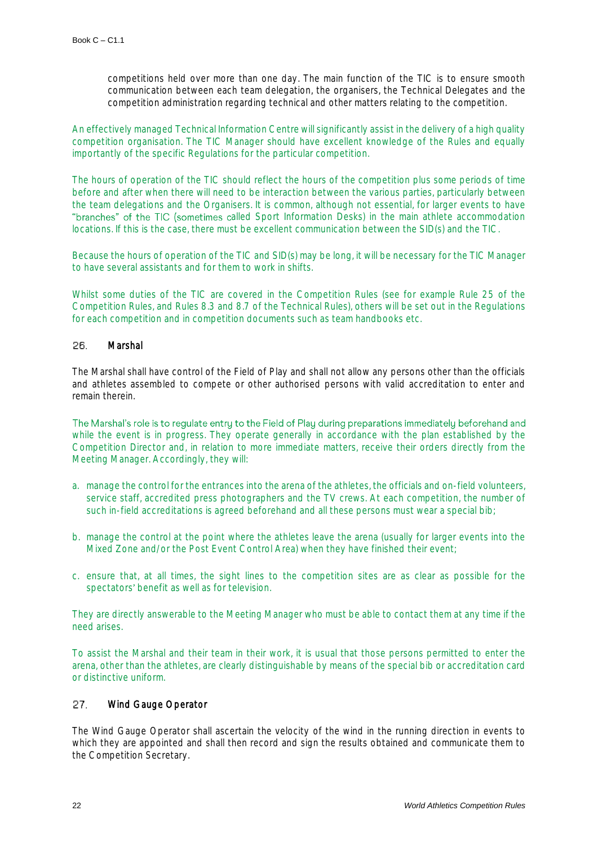competitions held over more than one day. The main function of the TIC is to ensure smooth communication between each team delegation, the organisers, the Technical Delegates and the competition administration regarding technical and other matters relating to the competition.

An effectively managed Technical Information Centre will significantly assist in the delivery of a high quality competition organisation. The TIC Manager should have excellent knowledge of the Rules and equally importantly of the specific Regulations for the particular competition.

The hours of operation of the TIC should reflect the hours of the competition plus some periods of time before and after when there will need to be interaction between the various parties, particularly between the team delegations and the Organisers. It is common, although not essential, for larger events to have "branches" of the TIC (sometimes called Sport Information Desks) in the main athlete accommodation locations. If this is the case, there must be excellent communication between the SID(s) and the TIC.

Because the hours of operation of the TIC and SID(s) may be long, it will be necessary for the TIC Manager to have several assistants and for them to work in shifts.

Whilst some duties of the TIC are covered in the Competition Rules (see for example Rule 25 of the Competition Rules, and Rules 8.3 and 8.7 of the Technical Rules), others will be set out in the Regulations for each competition and in competition documents such as team handbooks etc.

#### 26. Marshal

The Marshal shall have control of the Field of Play and shall not allow any persons other than the officials and athletes assembled to compete or other authorised persons with valid accreditation to enter and remain therein.

The Marshal's role is to regulate entry to the Field of Play during preparations immediately beforehand and while the event is in progress. They operate generally in accordance with the plan established by the Competition Director and, in relation to more immediate matters, receive their orders directly from the Meeting Manager. Accordingly, they will:

- a. manage the control for the entrances into the arena of the athletes, the officials and on-field volunteers, service staff, accredited press photographers and the TV crews. At each competition, the number of such in-field accreditations is agreed beforehand and all these persons must wear a special bib;
- b. manage the control at the point where the athletes leave the arena (usually for larger events into the Mixed Zone and/or the Post Event Control Area) when they have finished their event;
- c. ensure that, at all times, the sight lines to the competition sites are as clear as possible for the spectators' benefit as well as for television.

They are directly answerable to the Meeting Manager who must be able to contact them at any time if the need arises.

To assist the Marshal and their team in their work, it is usual that those persons permitted to enter the arena, other than the athletes, are clearly distinguishable by means of the special bib or accreditation card or distinctive uniform.

#### 27. Wind Gauge Operator

The Wind Gauge Operator shall ascertain the velocity of the wind in the running direction in events to which they are appointed and shall then record and sign the results obtained and communicate them to the Competition Secretary.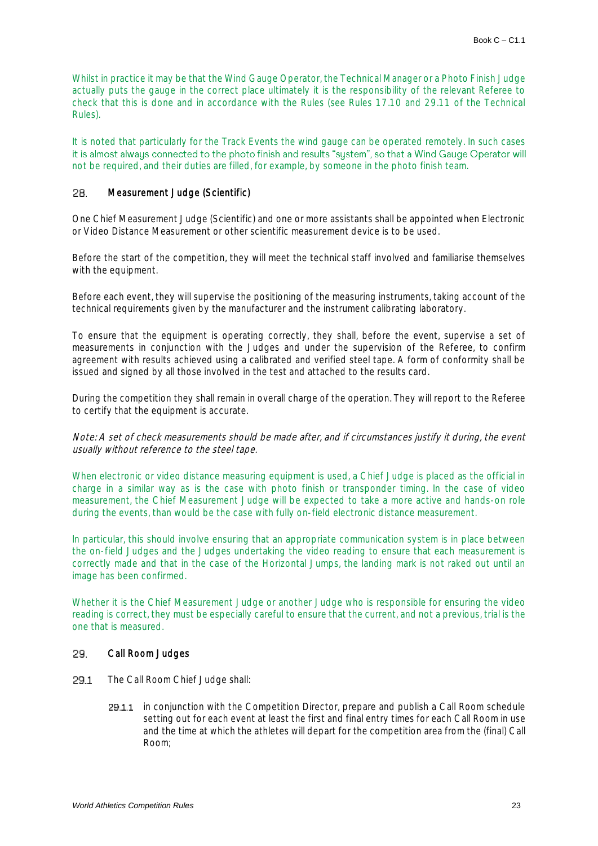Whilst in practice it may be that the Wind Gauge Operator, the Technical Manager or a Photo Finish Judge actually puts the gauge in the correct place ultimately it is the responsibility of the relevant Referee to check that this is done and in accordance with the Rules (see Rules 17.10 and 29.11 of the Technical Rules).

It is noted that particularly for the Track Events the wind gauge can be operated remotely. In such cases it is almost always connected to the photo finish and results "system", so that a Wind Gauge Operator will not be required, and their duties are filled, for example, by someone in the photo finish team.

#### Measurement Judge (Scientific) 28.

One Chief Measurement Judge (Scientific) and one or more assistants shall be appointed when Electronic or Video Distance Measurement or other scientific measurement device is to be used.

Before the start of the competition, they will meet the technical staff involved and familiarise themselves with the equipment.

Before each event, they will supervise the positioning of the measuring instruments, taking account of the technical requirements given by the manufacturer and the instrument calibrating laboratory.

To ensure that the equipment is operating correctly, they shall, before the event, supervise a set of measurements in conjunction with the Judges and under the supervision of the Referee, to confirm agreement with results achieved using a calibrated and verified steel tape. A form of conformity shall be issued and signed by all those involved in the test and attached to the results card.

During the competition they shall remain in overall charge of the operation. They will report to the Referee to certify that the equipment is accurate.

Note: A set of check measurements should be made after, and if circumstances justify it during, the event usually without reference to the steel tape.

When electronic or video distance measuring equipment is used, a Chief Judge is placed as the official in charge in a similar way as is the case with photo finish or transponder timing. In the case of video measurement, the Chief Measurement Judge will be expected to take a more active and hands-on role during the events, than would be the case with fully on-field electronic distance measurement.

In particular, this should involve ensuring that an appropriate communication system is in place between the on-field Judges and the Judges undertaking the video reading to ensure that each measurement is correctly made and that in the case of the Horizontal Jumps, the landing mark is not raked out until an image has been confirmed.

Whether it is the Chief Measurement Judge or another Judge who is responsible for ensuring the video reading is correct, they must be especially careful to ensure that the current, and not a previous, trial is the one that is measured.

#### 29. Call Room Judges

- 29.1 The Call Room Chief Judge shall:
	- 29.1.1 in conjunction with the Competition Director, prepare and publish a Call Room schedule setting out for each event at least the first and final entry times for each Call Room in use and the time at which the athletes will depart for the competition area from the (final) Call Room;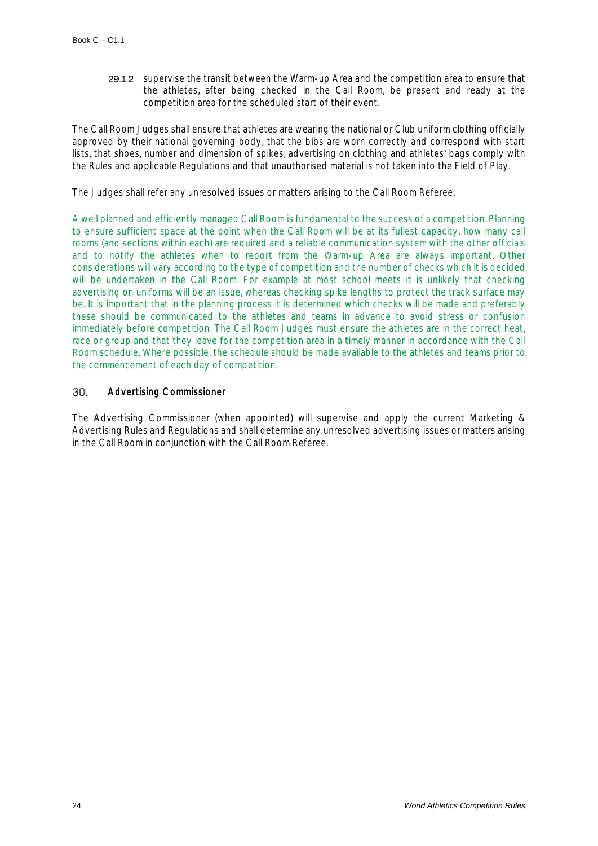29.1.2 supervise the transit between the Warm-up Area and the competition area to ensure that the athletes, after being checked in the Call Room, be present and ready at the competition area for the scheduled start of their event.

The Call Room Judges shall ensure that athletes are wearing the national or Club uniform clothing officially approved by their national governing body, that the bibs are worn correctly and correspond with start lists, that shoes, number and dimension of spikes, advertising on clothing and athletes' bags comply with the Rules and applicable Regulations and that unauthorised material is not taken into the Field of Play.

The Judges shall refer any unresolved issues or matters arising to the Call Room Referee.

A well planned and efficiently managed Call Room is fundamental to the success of a competition. Planning to ensure sufficient space at the point when the Call Room will be at its fullest capacity, how many call rooms (and sections within each) are required and a reliable communication system with the other officials and to notify the athletes when to report from the Warm-up Area are always important. Other considerations will vary according to the type of competition and the number of checks which it is decided will be undertaken in the Call Room. For example at most school meets it is unlikely that checking advertising on uniforms will be an issue, whereas checking spike lengths to protect the track surface may be. It is important that in the planning process it is determined which checks will be made and preferably these should be communicated to the athletes and teams in advance to avoid stress or confusion immediately before competition. The Call Room Judges must ensure the athletes are in the correct heat, race or group and that they leave for the competition area in a timely manner in accordance with the Call Room schedule. Where possible, the schedule should be made available to the athletes and teams prior to the commencement of each day of competition.

#### 30. Advertising Commissioner

The Advertising Commissioner (when appointed) will supervise and apply the current Marketing & Advertising Rules and Regulations and shall determine any unresolved advertising issues or matters arising in the Call Room in conjunction with the Call Room Referee.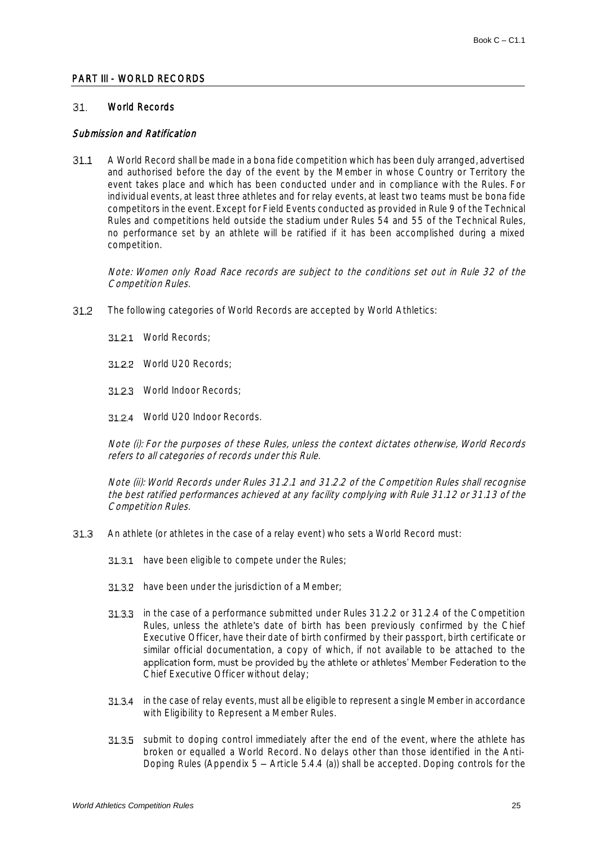### PART III - WORLD RECORDS

#### 31. World Records

### Submission and Ratification

A World Record shall be made in a bona fide competition which has been duly arranged, advertised  $31.1$ and authorised before the day of the event by the Member in whose Country or Territory the event takes place and which has been conducted under and in compliance with the Rules. For individual events, at least three athletes and for relay events, at least two teams must be bona fide competitors in the event. Except for Field Events conducted as provided in Rule 9 of the Technical Rules and competitions held outside the stadium under Rules 54 and 55 of the Technical Rules, no performance set by an athlete will be ratified if it has been accomplished during a mixed competition.

Note: Women only Road Race records are subject to the conditions set out in Rule 32 of the Competition Rules.

- $31.2$ The following categories of World Records are accepted by World Athletics:
	- 31.2.1 World Records:
	- 31.2.2 World U20 Records;
	- 31.2.3 World Indoor Records:
	- World U20 Indoor Records.

Note (i): For the purposes of these Rules, unless the context dictates otherwise, World Records refers to all categories of records under this Rule.

Note (ii): World Records under Rules 31.2.1 and 31.2.2 of the Competition Rules shall recognise the best ratified performances achieved at any facility complying with Rule 31.12 or 31.13 of the Competition Rules.

- $31.3$ An athlete (or athletes in the case of a relay event) who sets a World Record must:
	- 31.3.1 have been eligible to compete under the Rules;
	- 31.3.2 have been under the jurisdiction of a Member;
	- **31.3.3** in the case of a performance submitted under Rules 31.2.2 or 31.2.4 of the Competition Rules, unless the athlete's date of birth has been previously confirmed by the Chief Executive Officer, have their date of birth confirmed by their passport, birth certificate or similar official documentation, a copy of which, if not available to be attached to the application form, must be provided by the athlete or athletes' Member Federation to the Chief Executive Officer without delay;
	- 31.3.4 in the case of relay events, must all be eligible to represent a single Member in accordance with Eligibility to Represent a Member Rules.
	- **31.3.5** submit to doping control immediately after the end of the event, where the athlete has broken or equalled a World Record. No delays other than those identified in the Anti-Doping Rules (Appendix  $5 -$  Article 5.4.4 (a)) shall be accepted. Doping controls for the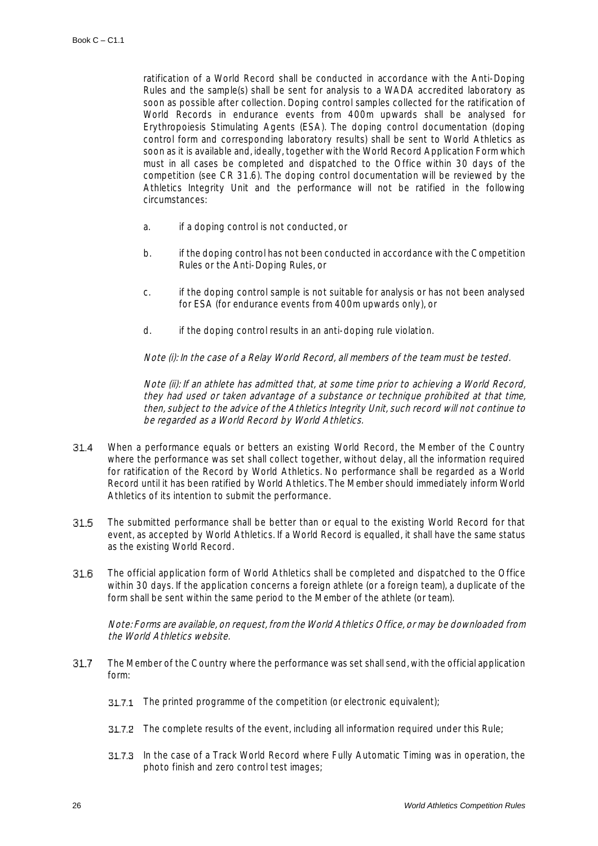ratification of a World Record shall be conducted in accordance with the Anti-Doping Rules and the sample(s) shall be sent for analysis to a WADA accredited laboratory as soon as possible after collection. Doping control samples collected for the ratification of World Records in endurance events from 400m upwards shall be analysed for Erythropoiesis Stimulating Agents (ESA). The doping control documentation (doping control form and corresponding laboratory results) shall be sent to World Athletics as soon as it is available and, ideally, together with the World Record Application Form which must in all cases be completed and dispatched to the Office within 30 days of the competition (see CR 31.6). The doping control documentation will be reviewed by the Athletics Integrity Unit and the performance will not be ratified in the following circumstances:

- a. if a doping control is not conducted, or
- b. if the doping control has not been conducted in accordance with the Competition Rules or the Anti-Doping Rules, or
- c. if the doping control sample is not suitable for analysis or has not been analysed for ESA (for endurance events from 400m upwards only), or
- d. if the doping control results in an anti-doping rule violation.

Note (i): In the case of a Relay World Record, all members of the team must be tested.

Note (ii): If an athlete has admitted that, at some time prior to achieving a World Record, they had used or taken advantage of a substance or technique prohibited at that time, then, subject to the advice of the Athletics Integrity Unit, such record will not continue to be regarded as a World Record by World Athletics.

- 31.4 When a performance equals or betters an existing World Record, the Member of the Country where the performance was set shall collect together, without delay, all the information required for ratification of the Record by World Athletics. No performance shall be regarded as a World Record until it has been ratified by World Athletics. The Member should immediately inform World Athletics of its intention to submit the performance.
- 31.5 The submitted performance shall be better than or equal to the existing World Record for that event, as accepted by World Athletics. If a World Record is equalled, it shall have the same status as the existing World Record.
- 31.6 The official application form of World Athletics shall be completed and dispatched to the Office within 30 days. If the application concerns a foreign athlete (or a foreign team), a duplicate of the form shall be sent within the same period to the Member of the athlete (or team).

Note: Forms are available, on request, from the World Athletics Office, or may be downloaded from the World Athletics website.

- 31.7 The Member of the Country where the performance was set shall send, with the official application form:
	- **31.7.1** The printed programme of the competition (or electronic equivalent);
	- **31.7.2** The complete results of the event, including all information required under this Rule;
	- **31.7.3** In the case of a Track World Record where Fully Automatic Timing was in operation, the photo finish and zero control test images;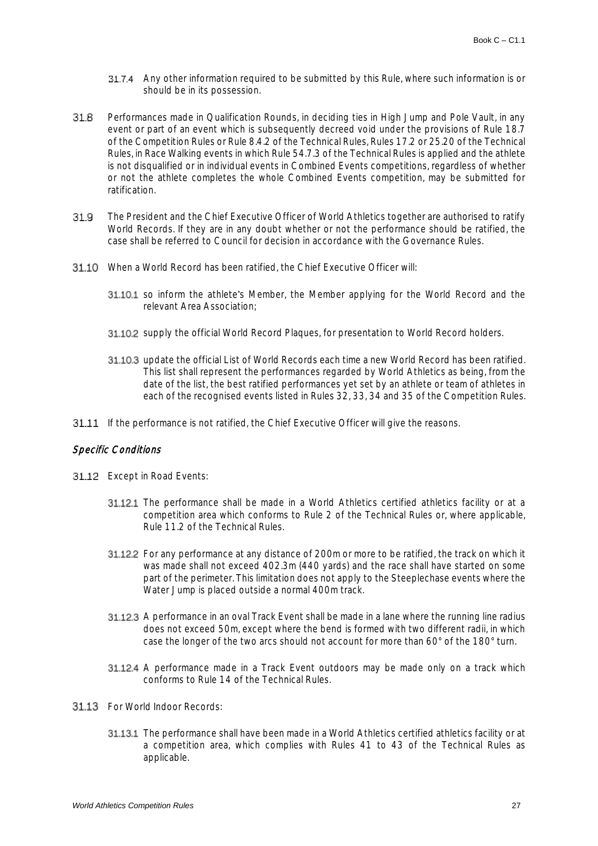- Any other information required to be submitted by this Rule, where such information is or should be in its possession.
- Performances made in Qualification Rounds, in deciding ties in High Jump and Pole Vault, in any 31.8 event or part of an event which is subsequently decreed void under the provisions of Rule 18.7 of the Competition Rules or Rule 8.4.2 of the Technical Rules, Rules 17.2 or 25.20 of the Technical Rules, in Race Walking events in which Rule 54.7.3 of the Technical Rules is applied and the athlete is not disqualified or in individual events in Combined Events competitions, regardless of whether or not the athlete completes the whole Combined Events competition, may be submitted for ratification.
- 31.9 The President and the Chief Executive Officer of World Athletics together are authorised to ratify World Records. If they are in any doubt whether or not the performance should be ratified, the case shall be referred to Council for decision in accordance with the Governance Rules.
- When a World Record has been ratified, the Chief Executive Officer will:
	- 31.10.1 so inform the athlete's Member, the Member applying for the World Record and the relevant Area Association;
	- **31.10.2** supply the official World Record Plaques, for presentation to World Record holders.
	- 31.10.3 update the official List of World Records each time a new World Record has been ratified. This list shall represent the performances regarded by World Athletics as being, from the date of the list, the best ratified performances yet set by an athlete or team of athletes in each of the recognised events listed in Rules 32, 33, 34 and 35 of the Competition Rules.
- 31.11 If the performance is not ratified, the Chief Executive Officer will give the reasons.

### Specific Conditions

- **31.12** Except in Road Events:
	- 31.12.1 The performance shall be made in a World Athletics certified athletics facility or at a competition area which conforms to Rule 2 of the Technical Rules or, where applicable, Rule 11.2 of the Technical Rules.
	- 31.12.2 For any performance at any distance of 200m or more to be ratified, the track on which it was made shall not exceed 402.3m (440 yards) and the race shall have started on some part of the perimeter. This limitation does not apply to the Steeplechase events where the Water Jump is placed outside a normal 400m track.
	- 31.12.3 A performance in an oval Track Event shall be made in a lane where the running line radius does not exceed 50m, except where the bend is formed with two different radii, in which case the longer of the two arcs should not account for more than 60° of the 180° turn.
	- **31.12.4** A performance made in a Track Event outdoors may be made only on a track which conforms to Rule 14 of the Technical Rules.
- 31.13 For World Indoor Records:
	- 31.13.1 The performance shall have been made in a World Athletics certified athletics facility or at a competition area, which complies with Rules 41 to 43 of the Technical Rules as applicable.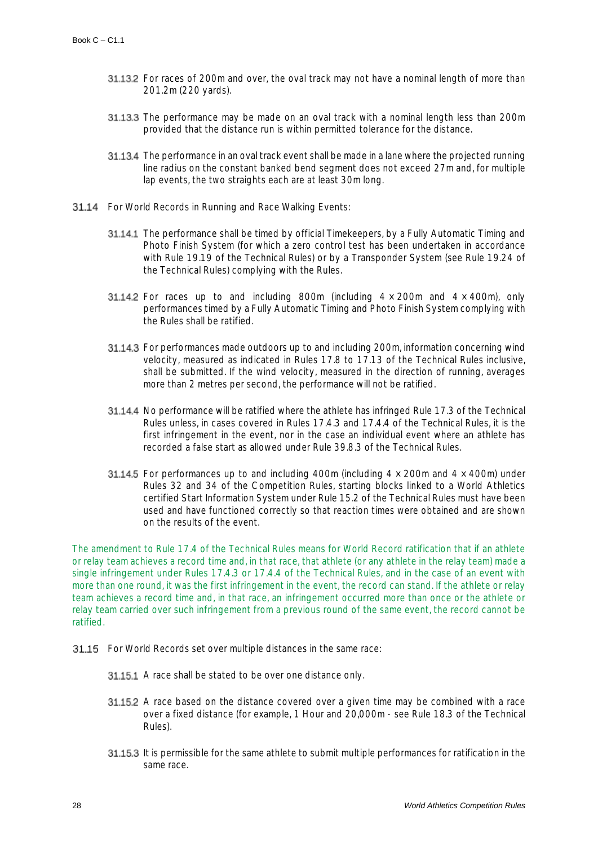- **31.13.2** For races of 200m and over, the oval track may not have a nominal length of more than 201.2m (220 yards).
- 31.13.3 The performance may be made on an oval track with a nominal length less than 200m provided that the distance run is within permitted tolerance for the distance.
- 31.13.4 The performance in an oval track event shall be made in a lane where the projected running line radius on the constant banked bend segment does not exceed 27m and, for multiple lap events, the two straights each are at least 30m long.
- **31.14** For World Records in Running and Race Walking Events:
	- **31.14.1** The performance shall be timed by official Timekeepers, by a Fully Automatic Timing and Photo Finish System (for which a zero control test has been undertaken in accordance with Rule 19.19 of the Technical Rules) or by a Transponder System (see Rule 19.24 of the Technical Rules) complying with the Rules.
	- **31.14.2** For races up to and including 800m (including  $4 \times 200$ m and  $4 \times 400$ m), only performances timed by a Fully Automatic Timing and Photo Finish System complying with the Rules shall be ratified.
	- **31.14.3** For performances made outdoors up to and including 200m, information concerning wind velocity, measured as indicated in Rules 17.8 to 17.13 of the Technical Rules inclusive, shall be submitted. If the wind velocity, measured in the direction of running, averages more than 2 metres per second, the performance will not be ratified.
	- 31.14.4 No performance will be ratified where the athlete has infringed Rule 17.3 of the Technical Rules unless, in cases covered in Rules 17.4.3 and 17.4.4 of the Technical Rules, it is the first infringement in the event, nor in the case an individual event where an athlete has recorded a false start as allowed under Rule 39.8.3 of the Technical Rules.
	- **31.14.5** For performances up to and including 400m (including  $4 \times 200$ m and  $4 \times 400$ m) under Rules 32 and 34 of the Competition Rules, starting blocks linked to a World Athletics certified Start Information System under Rule 15.2 of the Technical Rules must have been used and have functioned correctly so that reaction times were obtained and are shown on the results of the event.

The amendment to Rule 17.4 of the Technical Rules means for World Record ratification that if an athlete or relay team achieves a record time and, in that race, that athlete (or any athlete in the relay team) made a single infringement under Rules 17.4.3 or 17.4.4 of the Technical Rules, and in the case of an event with more than one round, it was the first infringement in the event, the record can stand. If the athlete or relay team achieves a record time and, in that race, an infringement occurred more than once or the athlete or relay team carried over such infringement from a previous round of the same event, the record cannot be ratified.

- 31.15 For World Records set over multiple distances in the same race:
	- 31.15.1 A race shall be stated to be over one distance only.
	- **31.15.2** A race based on the distance covered over a given time may be combined with a race over a fixed distance (for example, 1 Hour and 20,000m - see Rule 18.3 of the Technical Rules).
	- 31.15.3 It is permissible for the same athlete to submit multiple performances for ratification in the same race.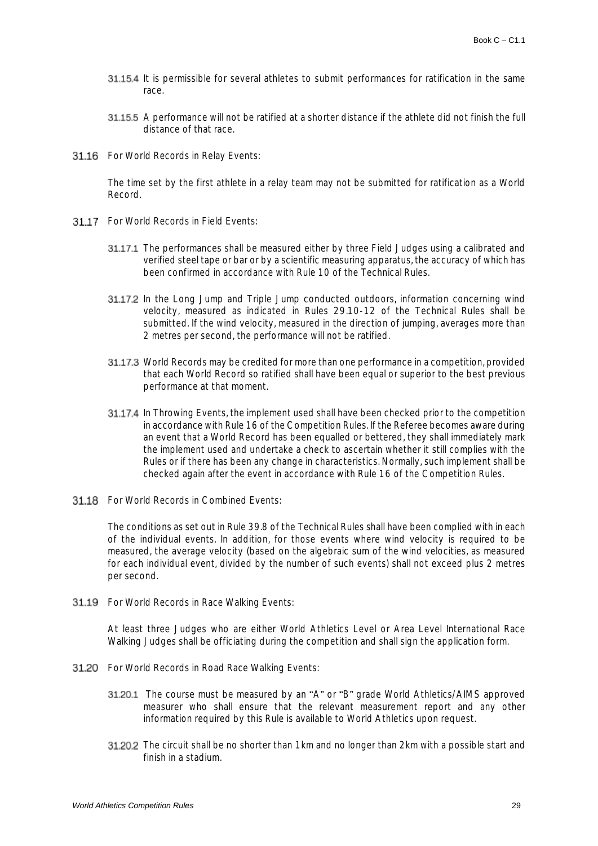- **31.15.4** It is permissible for several athletes to submit performances for ratification in the same race.
- 31.15.5 A performance will not be ratified at a shorter distance if the athlete did not finish the full distance of that race.
- 31.16 For World Records in Relay Events:

The time set by the first athlete in a relay team may not be submitted for ratification as a World Record.

- 31.17 For World Records in Field Events:
	- 31.17.1 The performances shall be measured either by three Field Judges using a calibrated and verified steel tape or bar or by a scientific measuring apparatus, the accuracy of which has been confirmed in accordance with Rule 10 of the Technical Rules.
	- **31.17.2** In the Long Jump and Triple Jump conducted outdoors, information concerning wind velocity, measured as indicated in Rules 29.10-12 of the Technical Rules shall be submitted. If the wind velocity, measured in the direction of jumping, averages more than 2 metres per second, the performance will not be ratified.
	- 31.17.3 World Records may be credited for more than one performance in a competition, provided that each World Record so ratified shall have been equal or superior to the best previous performance at that moment.
	- 31.17.4 In Throwing Events, the implement used shall have been checked prior to the competition in accordance with Rule 16 of the Competition Rules. If the Referee becomes aware during an event that a World Record has been equalled or bettered, they shall immediately mark the implement used and undertake a check to ascertain whether it still complies with the Rules or if there has been any change in characteristics. Normally, such implement shall be checked again after the event in accordance with Rule 16 of the Competition Rules.
- **31.18** For World Records in Combined Events:

The conditions as set out in Rule 39.8 of the Technical Rules shall have been complied with in each of the individual events. In addition, for those events where wind velocity is required to be measured, the average velocity (based on the algebraic sum of the wind velocities, as measured for each individual event, divided by the number of such events) shall not exceed plus 2 metres per second.

31.19 For World Records in Race Walking Events:

At least three Judges who are either World Athletics Level or Area Level International Race Walking Judges shall be officiating during the competition and shall sign the application form.

- **31.20** For World Records in Road Race Walking Events:
	- 31.20.1 The course must be measured by an "A" or "B" grade World Athletics/AIMS approved measurer who shall ensure that the relevant measurement report and any other information required by this Rule is available to World Athletics upon request.
	- 31.20.2 The circuit shall be no shorter than 1km and no longer than 2km with a possible start and finish in a stadium.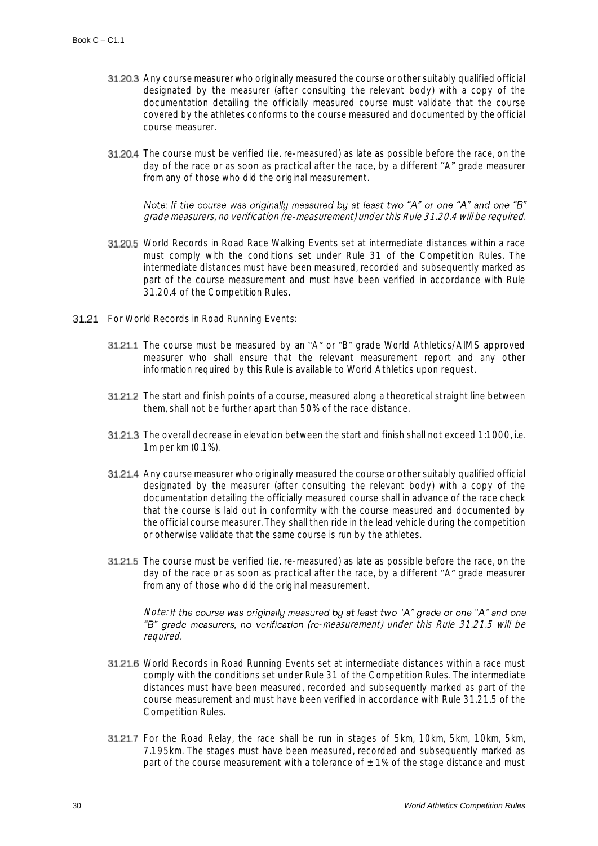- 31.20.3 Any course measurer who originally measured the course or other suitably qualified official designated by the measurer (after consulting the relevant body) with a copy of the documentation detailing the officially measured course must validate that the course covered by the athletes conforms to the course measured and documented by the official course measurer.
- **31.20.4** The course must be verified (i.e. re-measured) as late as possible before the race, on the day of the race or as soon as practical after the race, by a different "A" grade measurer from any of those who did the original measurement.

Note: If the course was originally measured by at least two "A" or one "A" and one "B" grade measurers, no verification (re-measurement) under this Rule 31.20.4 will be required.

- 31.20.5 World Records in Road Race Walking Events set at intermediate distances within a race must comply with the conditions set under Rule 31 of the Competition Rules. The intermediate distances must have been measured, recorded and subsequently marked as part of the course measurement and must have been verified in accordance with Rule 31.20.4 of the Competition Rules.
- 31.21 For World Records in Road Running Events:
	- 31.21.1 The course must be measured by an "A" or "B" grade World Athletics/AIMS approved measurer who shall ensure that the relevant measurement report and any other information required by this Rule is available to World Athletics upon request.
	- 31.21.2 The start and finish points of a course, measured along a theoretical straight line between them, shall not be further apart than 50% of the race distance.
	- 31.21.3 The overall decrease in elevation between the start and finish shall not exceed 1:1000, i.e. 1m per km (0.1%).
	- **31.21.4** Any course measurer who originally measured the course or other suitably qualified official designated by the measurer (after consulting the relevant body) with a copy of the documentation detailing the officially measured course shall in advance of the race check that the course is laid out in conformity with the course measured and documented by the official course measurer. They shall then ride in the lead vehicle during the competition or otherwise validate that the same course is run by the athletes.
	- **31.21.5** The course must be verified (i.e. re-measured) as late as possible before the race, on the day of the race or as soon as practical after the race, by a different "A" grade measurer from any of those who did the original measurement.

Note: If the course was originally measured by at least two "A" grade or one "A" and one "B" grade measurers, no verification (re-measurement) under this Rule 31.21.5 will be required.

- 31.21.6 World Records in Road Running Events set at intermediate distances within a race must comply with the conditions set under Rule 31 of the Competition Rules. The intermediate distances must have been measured, recorded and subsequently marked as part of the course measurement and must have been verified in accordance with Rule 31.21.5 of the Competition Rules.
- **31.21.7** For the Road Relay, the race shall be run in stages of 5km, 10km, 5km, 10km, 5km, 7.195km. The stages must have been measured, recorded and subsequently marked as part of the course measurement with a tolerance of  $\pm$  1% of the stage distance and must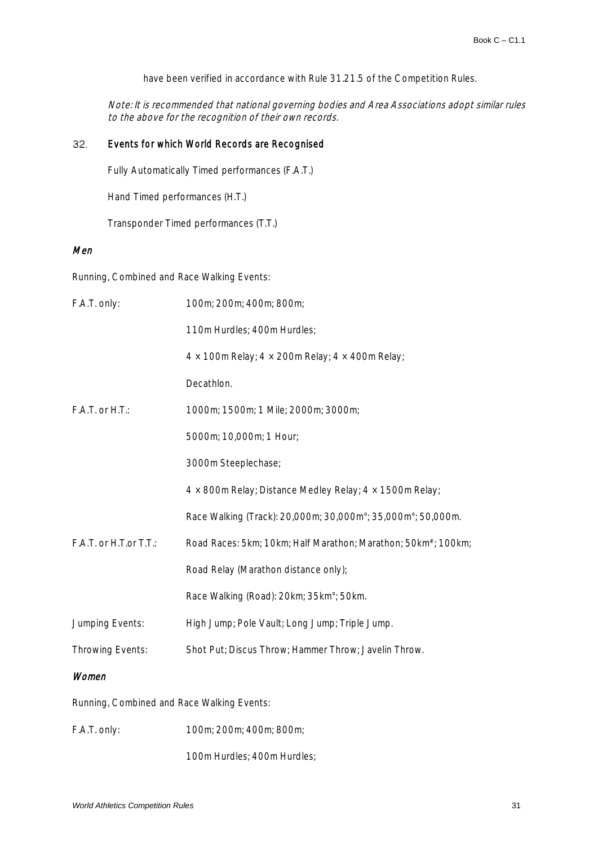have been verified in accordance with Rule 31.21.5 of the Competition Rules.

Note: It is recommended that national governing bodies and Area Associations adopt similar rules to the above for the recognition of their own records.

#### 32. Events for which World Records are Recognised

Fully Automatically Timed performances (F.A.T.)

Hand Timed performances (H.T.)

Transponder Timed performances (T.T.)

# Men

Running, Combined and Race Walking Events:

| F.A.T. only:                               | 100m; 200m; 400m; 800m;                                                    |  |
|--------------------------------------------|----------------------------------------------------------------------------|--|
|                                            | 110m Hurdles; 400m Hurdles;                                                |  |
|                                            | $4 \times 100$ m Relay; $4 \times 200$ m Relay; $4 \times 400$ m Relay;    |  |
|                                            | Decathlon.                                                                 |  |
| F.A.T. or H.T.:                            | 1000m; 1500m; 1 Mile; 2000m; 3000m;                                        |  |
|                                            | 5000m; 10,000m; 1 Hour;                                                    |  |
|                                            | 3000m Steeplechase;                                                        |  |
|                                            | $4 \times 800$ m Relay; Distance Medley Relay; $4 \times 1500$ m Relay;    |  |
|                                            | Race Walking (Track): 20,000m; 30,000m°; 35,000m°; 50,000m.                |  |
| F.A.T. or H.T.or T.T.:                     | Road Races: 5km; 10km; Half Marathon; Marathon; 50km <sup>#</sup> ; 100km; |  |
|                                            | Road Relay (Marathon distance only);                                       |  |
|                                            | Race Walking (Road): 20km; 35km°; 50km.                                    |  |
| Jumping Events:                            | High Jump; Pole Vault; Long Jump; Triple Jump.                             |  |
| Throwing Events:                           | Shot Put; Discus Throw; Hammer Throw; Javelin Throw.                       |  |
| Women                                      |                                                                            |  |
| Running, Combined and Race Walking Events: |                                                                            |  |
| F.A.T. only:                               | 100m; 200m; 400m; 800m;                                                    |  |

100m Hurdles; 400m Hurdles;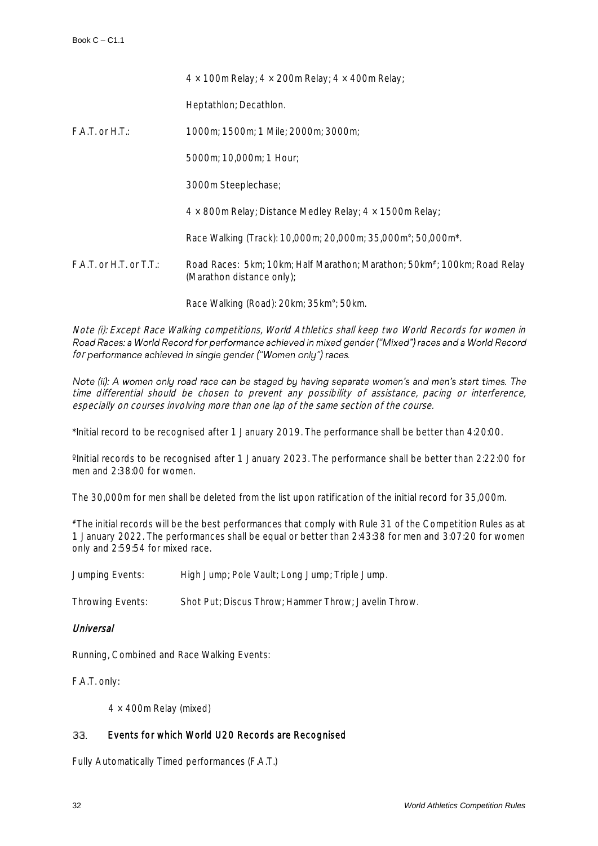|                              | $4 \times 100$ m Relay; $4 \times 200$ m Relay; $4 \times 400$ m Relay;                                            |
|------------------------------|--------------------------------------------------------------------------------------------------------------------|
|                              | Heptathlon; Decathlon.                                                                                             |
| $F.A.T.$ or $H.T.:$          | 1000m; 1500m; 1 Mile; 2000m; 3000m;                                                                                |
|                              | 5000m; 10,000m; 1 Hour;                                                                                            |
|                              | 3000m Steeplechase;                                                                                                |
|                              | $4 \times 800$ m Relay; Distance Medley Relay; $4 \times 1500$ m Relay;                                            |
|                              | Race Walking (Track): 10,000m; 20,000m; 35,000m°; 50,000m <sup>*</sup> .                                           |
| $F.A.T.$ or $H.T.$ or $T.T.$ | Road Races: 5km; 10km; Half Marathon; Marathon; 50km <sup>#</sup> ; 100km; Road Relay<br>(Marathon distance only); |

Race Walking (Road): 20km; 35km°; 50km.

Note (i): Except Race Walking competitions, World Athletics shall keep two World Records for women in Road Races: a World Record for performance achieved in mixed gender ("Mixed") races and a World Record for performance achieved in single gender ("Women only") races.

Note (ii): A women only road race can be staged by having separate women's and men's start times. The time differential should be chosen to prevent any possibility of assistance, pacing or interference, especially on courses involving more than one lap of the same section of the course.

\*Initial record to be recognised after 1 January 2019. The performance shall be better than 4:20:00.

ºInitial records to be recognised after 1 January 2023. The performance shall be better than 2:22:00 for men and 2:38:00 for women.

The 30,000m for men shall be deleted from the list upon ratification of the initial record for 35,000m.

#The initial records will be the best performances that comply with Rule 31 of the Competition Rules as at 1 January 2022. The performances shall be equal or better than 2:43:38 for men and 3:07:20 for women only and 2:59:54 for mixed race.

Jumping Events: High Jump; Pole Vault; Long Jump; Triple Jump.

Throwing Events: Shot Put; Discus Throw; Hammer Throw; Javelin Throw.

## Universal

Running, Combined and Race Walking Events:

F.A.T. only:

4 × 400m Relay (mixed)

#### 33. Events for which World U20 Records are Recognised

Fully Automatically Timed performances (F.A.T.)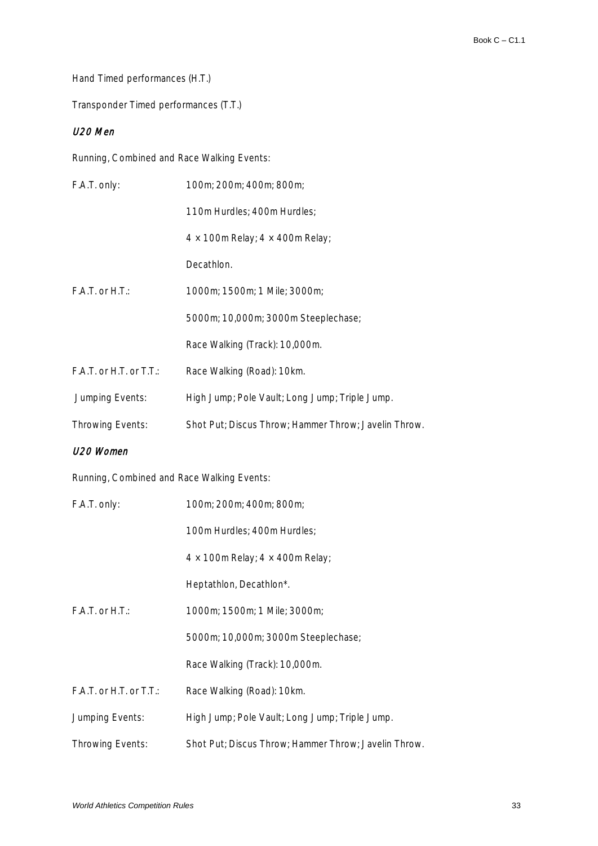Hand Timed performances (H.T.)

Transponder Timed performances (T.T.)

# U20 Men

Running, Combined and Race Walking Events:

| F.A.T. only:            | 100m; 200m; 400m; 800m;                              |
|-------------------------|------------------------------------------------------|
|                         | 110m Hurdles; 400m Hurdles;                          |
|                         | $4 \times 100$ m Relay; $4 \times 400$ m Relay;      |
|                         | Decathlon.                                           |
| $F.A.T.$ or $H.T.$      | 1000m; 1500m; 1 Mile; 3000m;                         |
|                         | 5000m; 10,000m; 3000m Steeplechase;                  |
|                         | Race Walking (Track): 10,000m.                       |
| F.A.T. or H.T. or T.T.: | Race Walking (Road): 10km.                           |
| Jumping Events:         | High Jump; Pole Vault; Long Jump; Triple Jump.       |
| Throwing Events:        | Shot Put; Discus Throw; Hammer Throw; Javelin Throw. |
| U20 Women               |                                                      |

Running, Combined and Race Walking Events:

| F.A.T. only:              | 100m; 200m; 400m; 800m;                              |
|---------------------------|------------------------------------------------------|
|                           | 100m Hurdles; 400m Hurdles;                          |
|                           | $4 \times 100$ m Relay; $4 \times 400$ m Relay;      |
|                           | Heptathlon, Decathlon*.                              |
| $F.A.T.$ or $H.T.$        | 1000m; 1500m; 1 Mile; 3000m;                         |
|                           | 5000m; 10,000m; 3000m Steeplechase;                  |
|                           | Race Walking (Track): 10,000m.                       |
| $F.A.T.$ or H.T. or T.T.: | Race Walking (Road): 10km.                           |
| Jumping Events:           | High Jump; Pole Vault; Long Jump; Triple Jump.       |
| Throwing Events:          | Shot Put; Discus Throw; Hammer Throw; Javelin Throw. |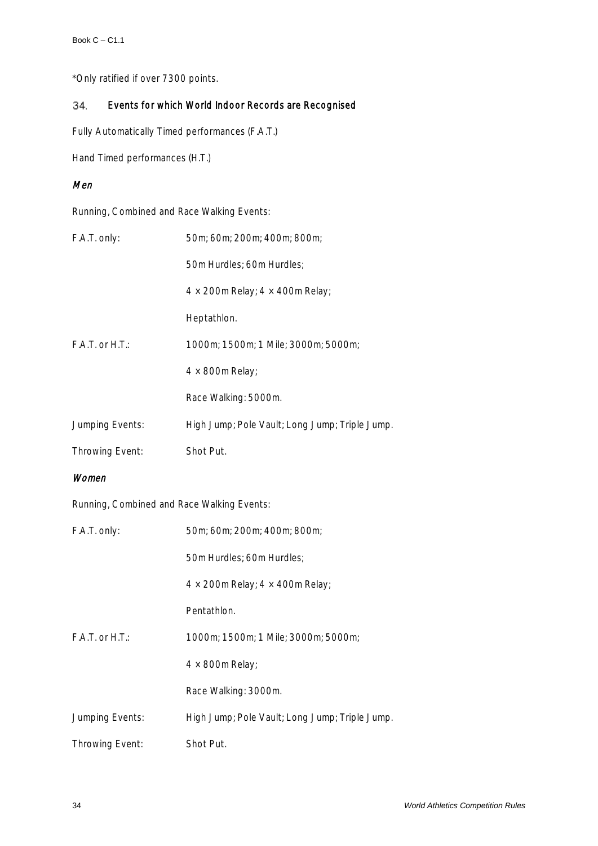\*Only ratified if over 7300 points.

#### 34. Events for which World Indoor Records are Recognised

Fully Automatically Timed performances (F.A.T.)

Hand Timed performances (H.T.)

# Men

Running, Combined and Race Walking Events:

| F.A.T. only:                               | 50m; 60m; 200m; 400m; 800m;                     |
|--------------------------------------------|-------------------------------------------------|
|                                            | 50m Hurdles; 60m Hurdles;                       |
|                                            | $4 \times 200$ m Relay; $4 \times 400$ m Relay; |
|                                            | Heptathlon.                                     |
| F.A.T. or H.T.:                            | 1000m; 1500m; 1 Mile; 3000m; 5000m;             |
|                                            | $4 \times 800$ m Relay;                         |
|                                            | Race Walking: 5000m.                            |
| Jumping Events:                            | High Jump; Pole Vault; Long Jump; Triple Jump.  |
| Throwing Event:                            | Shot Put.                                       |
| Women                                      |                                                 |
| Running, Combined and Race Walking Events: |                                                 |
| F.A.T. only:                               | 50m; 60m; 200m; 400m; 800m;                     |
|                                            |                                                 |
|                                            | 50m Hurdles; 60m Hurdles;                       |
|                                            | $4 \times 200$ m Relay; $4 \times 400$ m Relay; |
|                                            | Pentathlon.                                     |
| F.A.T. or H.T.:                            | 1000m; 1500m; 1 Mile; 3000m; 5000m;             |
|                                            | $4 \times 800$ m Relay;                         |
|                                            | Race Walking: 3000m.                            |
| Jumping Events:                            | High Jump; Pole Vault; Long Jump; Triple Jump.  |